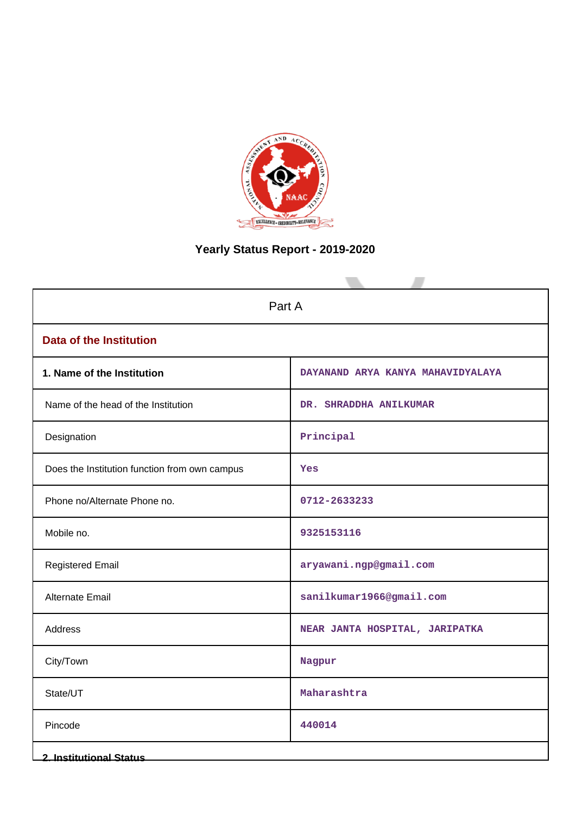

# **Yearly Status Report - 2019-2020**

| Part A                                        |                                   |  |  |
|-----------------------------------------------|-----------------------------------|--|--|
| <b>Data of the Institution</b>                |                                   |  |  |
| 1. Name of the Institution                    | DAYANAND ARYA KANYA MAHAVIDYALAYA |  |  |
| Name of the head of the Institution           | DR. SHRADDHA ANILKUMAR            |  |  |
| Designation                                   | Principal                         |  |  |
| Does the Institution function from own campus | Yes                               |  |  |
| Phone no/Alternate Phone no.                  | 0712-2633233                      |  |  |
| Mobile no.                                    | 9325153116                        |  |  |
| <b>Registered Email</b>                       | aryawani.ngp@gmail.com            |  |  |
| Alternate Email                               | sanilkumar1966@gmail.com          |  |  |
| Address                                       | NEAR JANTA HOSPITAL, JARIPATKA    |  |  |
| City/Town                                     | Nagpur                            |  |  |
| State/UT                                      | Maharashtra                       |  |  |
| Pincode                                       | 440014                            |  |  |
| <b>2. Institutional Status</b>                |                                   |  |  |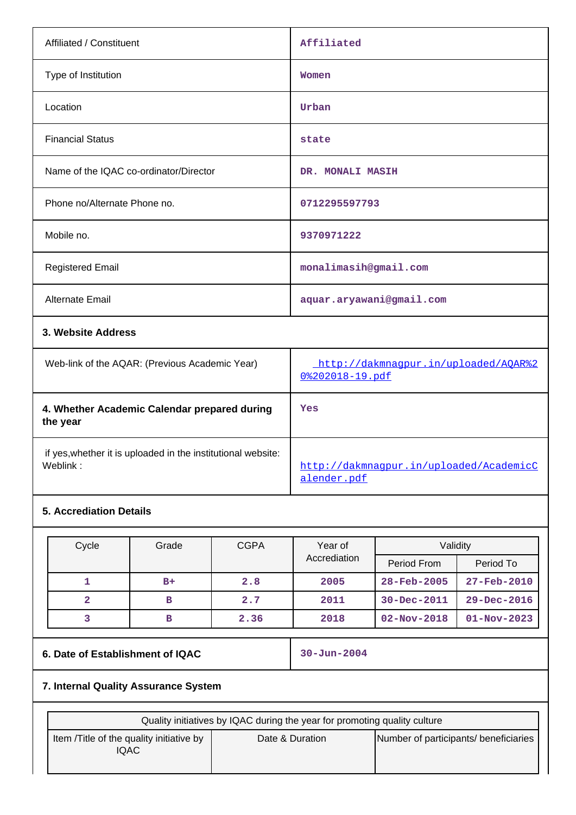| Affiliated / Constituent               | Affiliated               |
|----------------------------------------|--------------------------|
| Type of Institution                    | Women                    |
| Location                               | Urban                    |
| <b>Financial Status</b>                | state                    |
| Name of the IQAC co-ordinator/Director | DR. MONALI MASIH         |
| Phone no/Alternate Phone no.           | 0712295597793            |
| Mobile no.                             | 9370971222               |
| <b>Registered Email</b>                | monalimasih@gmail.com    |
| Alternate Email                        | aquar.aryawani@gmail.com |
| 3. Website Address                     |                          |

| Web-link of the AQAR: (Previous Academic Year)                           | http://dakmnaqpur.in/uploaded/AOAR%2<br>$0$ $8202018 - 19$ . pdf |
|--------------------------------------------------------------------------|------------------------------------------------------------------|
| 4. Whether Academic Calendar prepared during<br>the year                 | Yes                                                              |
| if yes, whether it is uploaded in the institutional website:<br>Weblink: | http://dakmnaqpur.in/uploaded/AcademicC<br>alender.pdf           |

# **5. Accrediation Details**

| Cycle | Grade | <b>CGPA</b> | Year of<br>Accrediation | Validity          |                   |
|-------|-------|-------------|-------------------------|-------------------|-------------------|
|       |       |             |                         | Period From       | Period To         |
|       | $B+$  | 2.8         | 2005                    | $28 - Feb - 2005$ | $27 - Feb - 2010$ |
| 2     | в     | 2.7         | 2011                    | 30-Dec-2011       | $29 - Dec - 2016$ |
|       | в     | 2.36        | 2018                    | $02 - Nov - 2018$ | $01 - Nov - 2023$ |

## **6. Date of Establishment of IQAC** 30-Jun-2004

## **7. Internal Quality Assurance System**

| Quality initiatives by IQAC during the year for promoting quality culture |                 |                                       |  |
|---------------------------------------------------------------------------|-----------------|---------------------------------------|--|
| Item / Title of the quality initiative by<br>IQAC                         | Date & Duration | Number of participants/ beneficiaries |  |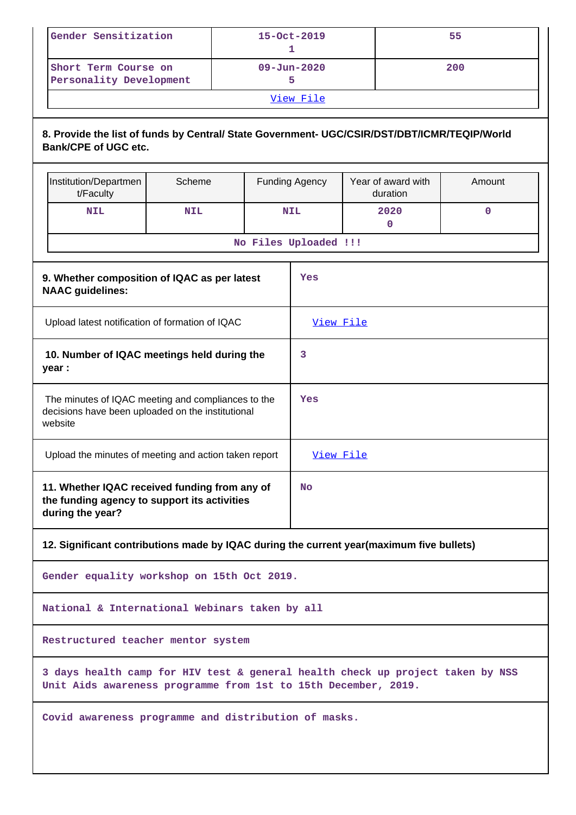| Gender Sensitization                            | $15 - Oct - 2019$ | 55  |  |
|-------------------------------------------------|-------------------|-----|--|
| Short Term Course on<br>Personality Development | $09 - Jun - 2020$ | 200 |  |
| View File                                       |                   |     |  |

### **8. Provide the list of funds by Central/ State Government- UGC/CSIR/DST/DBT/ICMR/TEQIP/World Bank/CPE of UGC etc.**

|                                                                                                                         | Institution/Departmen<br>t/Faculty                                                                                                               | Scheme     |     | <b>Funding Agency</b> | Year of award with<br>duration                                                           | Amount      |
|-------------------------------------------------------------------------------------------------------------------------|--------------------------------------------------------------------------------------------------------------------------------------------------|------------|-----|-----------------------|------------------------------------------------------------------------------------------|-------------|
|                                                                                                                         | <b>NIL</b>                                                                                                                                       | <b>NIL</b> |     | <b>NIL</b>            | 2020<br>$\mathbf 0$                                                                      | $\mathbf 0$ |
|                                                                                                                         | No Files Uploaded !!!                                                                                                                            |            |     |                       |                                                                                          |             |
|                                                                                                                         | 9. Whether composition of IQAC as per latest<br>Yes<br><b>NAAC</b> guidelines:                                                                   |            |     |                       |                                                                                          |             |
|                                                                                                                         | Upload latest notification of formation of IQAC<br>View File                                                                                     |            |     |                       |                                                                                          |             |
|                                                                                                                         | 10. Number of IQAC meetings held during the<br>year :                                                                                            |            |     | 3                     |                                                                                          |             |
| The minutes of IQAC meeting and compliances to the<br>decisions have been uploaded on the institutional<br>website      |                                                                                                                                                  |            | Yes |                       |                                                                                          |             |
|                                                                                                                         | Upload the minutes of meeting and action taken report<br>View File                                                                               |            |     |                       |                                                                                          |             |
| 11. Whether IQAC received funding from any of<br>No<br>the funding agency to support its activities<br>during the year? |                                                                                                                                                  |            |     |                       |                                                                                          |             |
|                                                                                                                         |                                                                                                                                                  |            |     |                       | 12. Significant contributions made by IQAC during the current year(maximum five bullets) |             |
|                                                                                                                         | Gender equality workshop on 15th Oct 2019.                                                                                                       |            |     |                       |                                                                                          |             |
|                                                                                                                         | National & International Webinars taken by all                                                                                                   |            |     |                       |                                                                                          |             |
|                                                                                                                         | Restructured teacher mentor system                                                                                                               |            |     |                       |                                                                                          |             |
|                                                                                                                         | 3 days health camp for HIV test & general health check up project taken by NSS<br>Unit Aids awareness programme from 1st to 15th December, 2019. |            |     |                       |                                                                                          |             |
|                                                                                                                         | Covid awareness programme and distribution of masks.                                                                                             |            |     |                       |                                                                                          |             |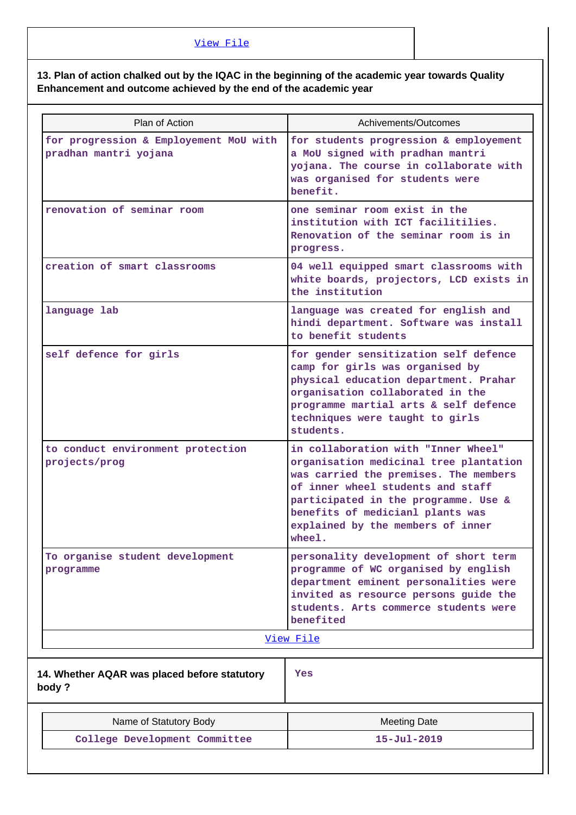## **13. Plan of action chalked out by the IQAC in the beginning of the academic year towards Quality Enhancement and outcome achieved by the end of the academic year**

| Plan of Action                                                  | Achivements/Outcomes                                                                                                                                                                                                                                                                   |
|-----------------------------------------------------------------|----------------------------------------------------------------------------------------------------------------------------------------------------------------------------------------------------------------------------------------------------------------------------------------|
| for progression & Employement MoU with<br>pradhan mantri yojana | for students progression & employement<br>a MoU signed with pradhan mantri<br>yojana. The course in collaborate with<br>was organised for students were<br>benefit.                                                                                                                    |
| renovation of seminar room                                      | one seminar room exist in the<br>institution with ICT facilitilies.<br>Renovation of the seminar room is in<br>progress.                                                                                                                                                               |
| creation of smart classrooms                                    | 04 well equipped smart classrooms with<br>white boards, projectors, LCD exists in<br>the institution                                                                                                                                                                                   |
| language lab                                                    | language was created for english and<br>hindi department. Software was install<br>to benefit students                                                                                                                                                                                  |
| self defence for girls                                          | for gender sensitization self defence<br>camp for girls was organised by<br>physical education department. Prahar<br>organisation collaborated in the<br>programme martial arts & self defence<br>techniques were taught to girls<br>students.                                         |
| to conduct environment protection<br>projects/prog              | in collaboration with "Inner Wheel"<br>organisation medicinal tree plantation<br>was carried the premises. The members<br>of inner wheel students and staff<br>participated in the programme. Use &<br>benefits of medicianl plants was<br>explained by the members of inner<br>wheel. |
| To organise student development<br>programme                    | personality development of short term<br>programme of WC organised by english<br>department eminent personalities were<br>invited as resource persons guide the<br>students. Arts commerce students were<br>benefited                                                                  |
|                                                                 | View File                                                                                                                                                                                                                                                                              |
| 14. Whether AQAR was placed before statutory<br>body?           | Yes                                                                                                                                                                                                                                                                                    |
| Name of Statutory Body                                          | <b>Meeting Date</b>                                                                                                                                                                                                                                                                    |
| College Development Committee                                   | $15 - Ju1 - 2019$                                                                                                                                                                                                                                                                      |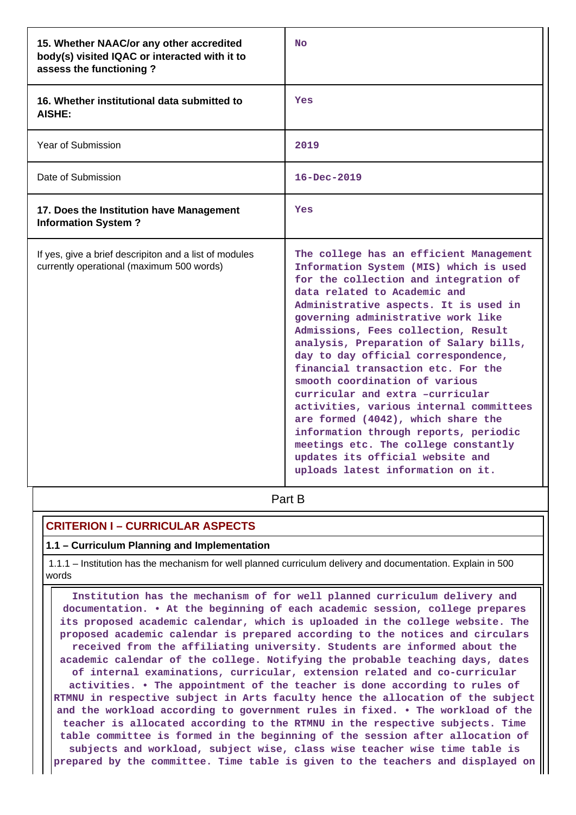| 15. Whether NAAC/or any other accredited<br>body(s) visited IQAC or interacted with it to<br>assess the functioning? | <b>No</b>                                                                                                                                                                                                                                                                                                                                                                                                                                                                                                                                                                                                                                                                                                                |
|----------------------------------------------------------------------------------------------------------------------|--------------------------------------------------------------------------------------------------------------------------------------------------------------------------------------------------------------------------------------------------------------------------------------------------------------------------------------------------------------------------------------------------------------------------------------------------------------------------------------------------------------------------------------------------------------------------------------------------------------------------------------------------------------------------------------------------------------------------|
| 16. Whether institutional data submitted to<br>AISHE:                                                                | Yes                                                                                                                                                                                                                                                                                                                                                                                                                                                                                                                                                                                                                                                                                                                      |
| Year of Submission                                                                                                   | 2019                                                                                                                                                                                                                                                                                                                                                                                                                                                                                                                                                                                                                                                                                                                     |
| Date of Submission                                                                                                   | $16 - Dec - 2019$                                                                                                                                                                                                                                                                                                                                                                                                                                                                                                                                                                                                                                                                                                        |
| 17. Does the Institution have Management<br><b>Information System?</b>                                               | Yes                                                                                                                                                                                                                                                                                                                                                                                                                                                                                                                                                                                                                                                                                                                      |
| If yes, give a brief descripiton and a list of modules<br>currently operational (maximum 500 words)                  | The college has an efficient Management<br>Information System (MIS) which is used<br>for the collection and integration of<br>data related to Academic and<br>Administrative aspects. It is used in<br>governing administrative work like<br>Admissions, Fees collection, Result<br>analysis, Preparation of Salary bills,<br>day to day official correspondence,<br>financial transaction etc. For the<br>smooth coordination of various<br>curricular and extra -curricular<br>activities, various internal committees<br>are formed (4042), which share the<br>information through reports, periodic<br>meetings etc. The college constantly<br>updates its official website and<br>uploads latest information on it. |

**Part B** 

## **CRITERION I – CURRICULAR ASPECTS**

### **1.1 – Curriculum Planning and Implementation**

 1.1.1 – Institution has the mechanism for well planned curriculum delivery and documentation. Explain in 500 words

 **Institution has the mechanism of for well planned curriculum delivery and documentation. • At the beginning of each academic session, college prepares its proposed academic calendar, which is uploaded in the college website. The proposed academic calendar is prepared according to the notices and circulars received from the affiliating university. Students are informed about the academic calendar of the college. Notifying the probable teaching days, dates of internal examinations, curricular, extension related and co-curricular activities. • The appointment of the teacher is done according to rules of RTMNU in respective subject in Arts faculty hence the allocation of the subject and the workload according to government rules in fixed. • The workload of the teacher is allocated according to the RTMNU in the respective subjects. Time table committee is formed in the beginning of the session after allocation of subjects and workload, subject wise, class wise teacher wise time table is prepared by the committee. Time table is given to the teachers and displayed on**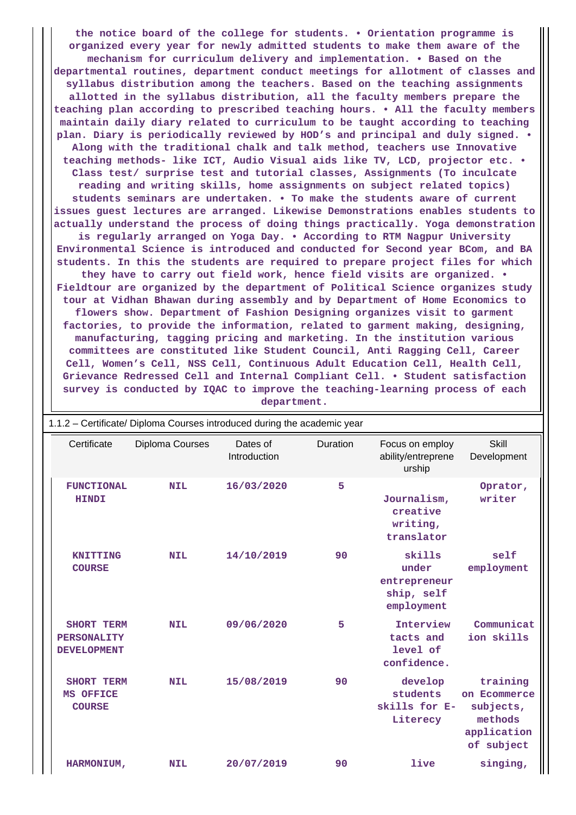**the notice board of the college for students. • Orientation programme is organized every year for newly admitted students to make them aware of the mechanism for curriculum delivery and implementation. • Based on the departmental routines, department conduct meetings for allotment of classes and syllabus distribution among the teachers. Based on the teaching assignments allotted in the syllabus distribution, all the faculty members prepare the teaching plan according to prescribed teaching hours. • All the faculty members maintain daily diary related to curriculum to be taught according to teaching plan. Diary is periodically reviewed by HOD's and principal and duly signed. • Along with the traditional chalk and talk method, teachers use Innovative teaching methods- like ICT, Audio Visual aids like TV, LCD, projector etc. • Class test/ surprise test and tutorial classes, Assignments (To inculcate reading and writing skills, home assignments on subject related topics) students seminars are undertaken. • To make the students aware of current issues guest lectures are arranged. Likewise Demonstrations enables students to actually understand the process of doing things practically. Yoga demonstration is regularly arranged on Yoga Day. • According to RTM Nagpur University Environmental Science is introduced and conducted for Second year BCom, and BA students. In this the students are required to prepare project files for which they have to carry out field work, hence field visits are organized. • Fieldtour are organized by the department of Political Science organizes study tour at Vidhan Bhawan during assembly and by Department of Home Economics to flowers show. Department of Fashion Designing organizes visit to garment factories, to provide the information, related to garment making, designing, manufacturing, tagging pricing and marketing. In the institution various committees are constituted like Student Council, Anti Ragging Cell, Career Cell, Women's Cell, NSS Cell, Continuous Adult Education Cell, Health Cell, Grievance Redressed Cell and Internal Compliant Cell. • Student satisfaction survey is conducted by IQAC to improve the teaching-learning process of each department.**

| 1.1.2 - Certificate/ Diploma Courses introduced during the academic year |                 |                          |          |                                                             |                                                                               |
|--------------------------------------------------------------------------|-----------------|--------------------------|----------|-------------------------------------------------------------|-------------------------------------------------------------------------------|
| Certificate                                                              | Diploma Courses | Dates of<br>Introduction | Duration | Focus on employ<br>ability/entreprene<br>urship             | <b>Skill</b><br>Development                                                   |
| <b>FUNCTIONAL</b><br><b>HINDI</b>                                        | <b>NIL</b>      | 16/03/2020               | 5        | Journalism,<br>creative<br>writing,<br>translator           | Oprator,<br>writer                                                            |
| <b>KNITTING</b><br><b>COURSE</b>                                         | <b>NIL</b>      | 14/10/2019               | 90       | skills<br>under<br>entrepreneur<br>ship, self<br>employment | self<br>employment                                                            |
| SHORT TERM<br>PERSONALITY<br><b>DEVELOPMENT</b>                          | <b>NIL</b>      | 09/06/2020               | 5        | Interview<br>tacts and<br>level of<br>confidence.           | Communicat<br>ion skills                                                      |
| SHORT TERM<br>MS OFFICE<br><b>COURSE</b>                                 | <b>NIL</b>      | 15/08/2019               | 90       | develop<br>students<br>skills for E-<br>Literecy            | training<br>on Ecommerce<br>subjects,<br>methods<br>application<br>of subject |
| HARMONIUM,                                                               | <b>NIL</b>      | 20/07/2019               | 90       | live                                                        | singing,                                                                      |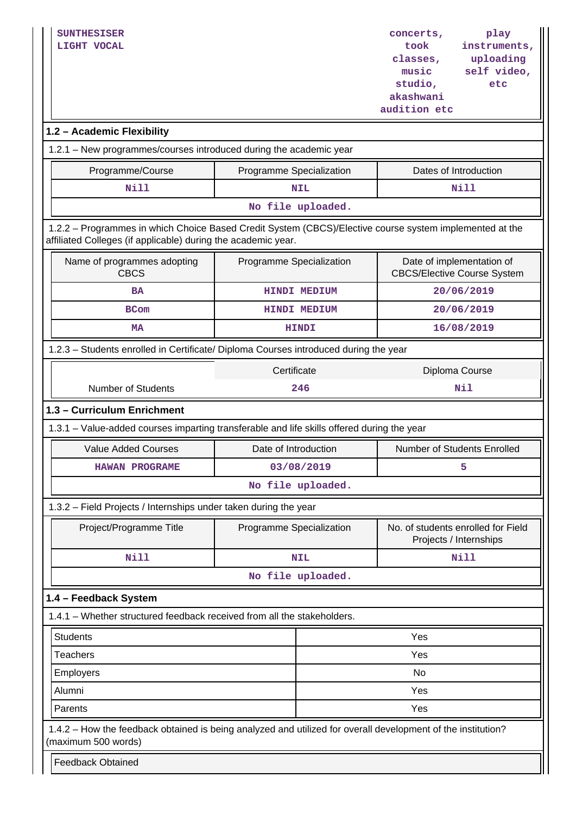| <b>SUNTHESISER</b><br>LIGHT VOCAL                                                                                                                                        |                          |                     | concerts,<br>took<br>classes,<br>music<br>studio,<br>akashwani<br>audition etc | play<br>instruments,<br>uploading<br>self video,<br>etc         |
|--------------------------------------------------------------------------------------------------------------------------------------------------------------------------|--------------------------|---------------------|--------------------------------------------------------------------------------|-----------------------------------------------------------------|
| 1.2 - Academic Flexibility                                                                                                                                               |                          |                     |                                                                                |                                                                 |
| 1.2.1 - New programmes/courses introduced during the academic year                                                                                                       |                          |                     |                                                                                |                                                                 |
| Programme/Course                                                                                                                                                         | Programme Specialization |                     |                                                                                | Dates of Introduction                                           |
| Nill                                                                                                                                                                     |                          | NIL                 | Nill                                                                           |                                                                 |
|                                                                                                                                                                          |                          | No file uploaded.   |                                                                                |                                                                 |
| 1.2.2 - Programmes in which Choice Based Credit System (CBCS)/Elective course system implemented at the<br>affiliated Colleges (if applicable) during the academic year. |                          |                     |                                                                                |                                                                 |
| Name of programmes adopting<br><b>CBCS</b>                                                                                                                               | Programme Specialization |                     |                                                                                | Date of implementation of<br><b>CBCS/Elective Course System</b> |
| <b>BA</b>                                                                                                                                                                |                          | <b>HINDI MEDIUM</b> |                                                                                | 20/06/2019                                                      |
| <b>BCom</b>                                                                                                                                                              |                          | <b>HINDI MEDIUM</b> |                                                                                | 20/06/2019                                                      |
| <b>MA</b>                                                                                                                                                                |                          | <b>HINDI</b>        |                                                                                | 16/08/2019                                                      |
| 1.2.3 - Students enrolled in Certificate/ Diploma Courses introduced during the year                                                                                     |                          |                     |                                                                                |                                                                 |
|                                                                                                                                                                          | Certificate              |                     |                                                                                | Diploma Course                                                  |
| <b>Number of Students</b><br>246                                                                                                                                         |                          |                     | Nil                                                                            |                                                                 |
| 1.3 - Curriculum Enrichment                                                                                                                                              |                          |                     |                                                                                |                                                                 |
| 1.3.1 – Value-added courses imparting transferable and life skills offered during the year                                                                               |                          |                     |                                                                                |                                                                 |
| <b>Value Added Courses</b>                                                                                                                                               | Date of Introduction     |                     |                                                                                | <b>Number of Students Enrolled</b>                              |
| <b>HAWAN PROGRAME</b>                                                                                                                                                    |                          | 03/08/2019          |                                                                                | 5                                                               |
|                                                                                                                                                                          |                          | No file uploaded.   |                                                                                |                                                                 |
| 1.3.2 - Field Projects / Internships under taken during the year                                                                                                         |                          |                     |                                                                                |                                                                 |
| Project/Programme Title                                                                                                                                                  | Programme Specialization |                     |                                                                                | No. of students enrolled for Field<br>Projects / Internships    |
| Nill                                                                                                                                                                     |                          | <b>NIL</b>          |                                                                                | <b>Nill</b>                                                     |
|                                                                                                                                                                          |                          | No file uploaded.   |                                                                                |                                                                 |
| 1.4 - Feedback System                                                                                                                                                    |                          |                     |                                                                                |                                                                 |
| 1.4.1 - Whether structured feedback received from all the stakeholders.                                                                                                  |                          |                     |                                                                                |                                                                 |
| <b>Students</b>                                                                                                                                                          |                          | Yes                 |                                                                                |                                                                 |
| <b>Teachers</b>                                                                                                                                                          |                          | Yes                 |                                                                                |                                                                 |
| Employers                                                                                                                                                                |                          | No                  |                                                                                |                                                                 |
| Alumni                                                                                                                                                                   |                          |                     | Yes                                                                            |                                                                 |
| Parents                                                                                                                                                                  | Yes                      |                     |                                                                                |                                                                 |
| 1.4.2 - How the feedback obtained is being analyzed and utilized for overall development of the institution?<br>(maximum 500 words)<br><b>Feedback Obtained</b>          |                          |                     |                                                                                |                                                                 |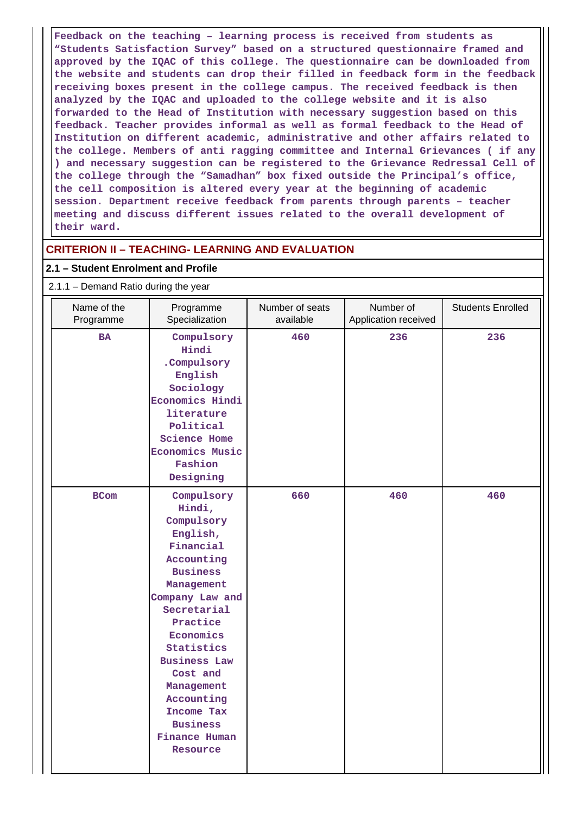**Feedback on the teaching – learning process is received from students as "Students Satisfaction Survey" based on a structured questionnaire framed and approved by the IQAC of this college. The questionnaire can be downloaded from the website and students can drop their filled in feedback form in the feedback receiving boxes present in the college campus. The received feedback is then analyzed by the IQAC and uploaded to the college website and it is also forwarded to the Head of Institution with necessary suggestion based on this feedback. Teacher provides informal as well as formal feedback to the Head of Institution on different academic, administrative and other affairs related to the college. Members of anti ragging committee and Internal Grievances ( if any ) and necessary suggestion can be registered to the Grievance Redressal Cell of the college through the "Samadhan" box fixed outside the Principal's office, the cell composition is altered every year at the beginning of academic session. Department receive feedback from parents through parents – teacher meeting and discuss different issues related to the overall development of their ward.**

## **CRITERION II – TEACHING- LEARNING AND EVALUATION**

### **2.1 – Student Enrolment and Profile**

| 2.1.1 - Demand Ratio during the year |                                                                                                                                                                                                                                                                                                                  |                              |                                   |                          |
|--------------------------------------|------------------------------------------------------------------------------------------------------------------------------------------------------------------------------------------------------------------------------------------------------------------------------------------------------------------|------------------------------|-----------------------------------|--------------------------|
| Name of the<br>Programme             | Programme<br>Specialization                                                                                                                                                                                                                                                                                      | Number of seats<br>available | Number of<br>Application received | <b>Students Enrolled</b> |
| <b>BA</b>                            | Compulsory<br>Hindi<br>.Compulsory<br>English<br>Sociology<br><b>Economics Hindi</b><br>literature<br>Political<br><b>Science Home</b><br><b>Economics Music</b><br>Fashion<br>Designing                                                                                                                         | 460                          | 236                               | 236                      |
| <b>BCom</b>                          | Compulsory<br>Hindi,<br>Compulsory<br>English,<br>Financial<br>Accounting<br><b>Business</b><br>Management<br>Company Law and<br>Secretarial<br>Practice<br>Economics<br>Statistics<br><b>Business Law</b><br>Cost and<br>Management<br>Accounting<br>Income Tax<br><b>Business</b><br>Finance Human<br>Resource | 660                          | 460                               | 460                      |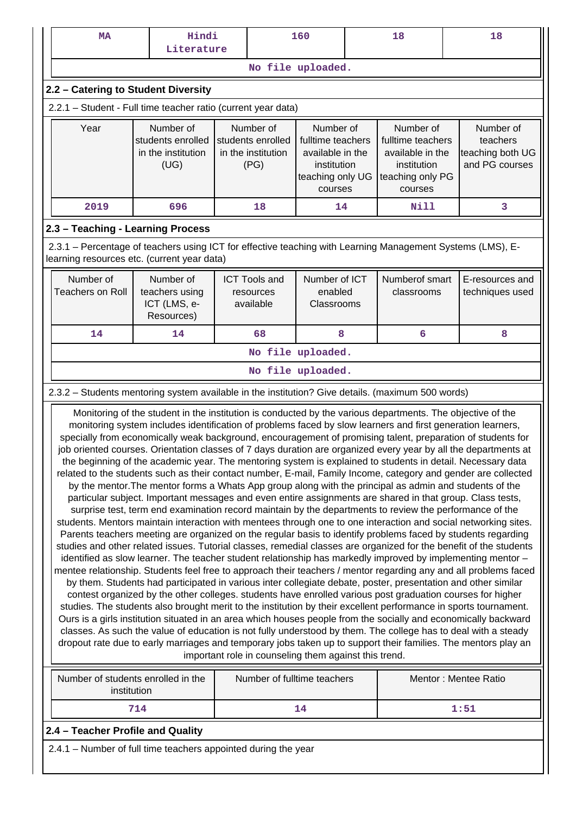| <b>MA</b>                                                                                                                                                                                                                                                                                                                                                                                                                                                                                                                                                                                                                                                                                                                                                                                                                                                                                                                                                                                                                                                                                                                                                                                                                                                                                                                                                                                                                                                                                                                                                                                                                                                                                                                                                                                                                                                                                                                                                                                                                                                                                                                                                                                                                                                                                                                                                                                                                                                                                           | Hindi<br>Literature                                          | 160 |                                                              |                                                                                                  |  | 18                                                                                               |  | 18                                                          |  |  |  |  |  |
|-----------------------------------------------------------------------------------------------------------------------------------------------------------------------------------------------------------------------------------------------------------------------------------------------------------------------------------------------------------------------------------------------------------------------------------------------------------------------------------------------------------------------------------------------------------------------------------------------------------------------------------------------------------------------------------------------------------------------------------------------------------------------------------------------------------------------------------------------------------------------------------------------------------------------------------------------------------------------------------------------------------------------------------------------------------------------------------------------------------------------------------------------------------------------------------------------------------------------------------------------------------------------------------------------------------------------------------------------------------------------------------------------------------------------------------------------------------------------------------------------------------------------------------------------------------------------------------------------------------------------------------------------------------------------------------------------------------------------------------------------------------------------------------------------------------------------------------------------------------------------------------------------------------------------------------------------------------------------------------------------------------------------------------------------------------------------------------------------------------------------------------------------------------------------------------------------------------------------------------------------------------------------------------------------------------------------------------------------------------------------------------------------------------------------------------------------------------------------------------------------------|--------------------------------------------------------------|-----|--------------------------------------------------------------|--------------------------------------------------------------------------------------------------|--|--------------------------------------------------------------------------------------------------|--|-------------------------------------------------------------|--|--|--|--|--|
|                                                                                                                                                                                                                                                                                                                                                                                                                                                                                                                                                                                                                                                                                                                                                                                                                                                                                                                                                                                                                                                                                                                                                                                                                                                                                                                                                                                                                                                                                                                                                                                                                                                                                                                                                                                                                                                                                                                                                                                                                                                                                                                                                                                                                                                                                                                                                                                                                                                                                                     |                                                              |     |                                                              | No file uploaded.                                                                                |  |                                                                                                  |  |                                                             |  |  |  |  |  |
| 2.2 - Catering to Student Diversity                                                                                                                                                                                                                                                                                                                                                                                                                                                                                                                                                                                                                                                                                                                                                                                                                                                                                                                                                                                                                                                                                                                                                                                                                                                                                                                                                                                                                                                                                                                                                                                                                                                                                                                                                                                                                                                                                                                                                                                                                                                                                                                                                                                                                                                                                                                                                                                                                                                                 |                                                              |     |                                                              |                                                                                                  |  |                                                                                                  |  |                                                             |  |  |  |  |  |
| 2.2.1 - Student - Full time teacher ratio (current year data)                                                                                                                                                                                                                                                                                                                                                                                                                                                                                                                                                                                                                                                                                                                                                                                                                                                                                                                                                                                                                                                                                                                                                                                                                                                                                                                                                                                                                                                                                                                                                                                                                                                                                                                                                                                                                                                                                                                                                                                                                                                                                                                                                                                                                                                                                                                                                                                                                                       |                                                              |     |                                                              |                                                                                                  |  |                                                                                                  |  |                                                             |  |  |  |  |  |
| Year                                                                                                                                                                                                                                                                                                                                                                                                                                                                                                                                                                                                                                                                                                                                                                                                                                                                                                                                                                                                                                                                                                                                                                                                                                                                                                                                                                                                                                                                                                                                                                                                                                                                                                                                                                                                                                                                                                                                                                                                                                                                                                                                                                                                                                                                                                                                                                                                                                                                                                | Number of<br>students enrolled<br>in the institution<br>(UG) |     | Number of<br>students enrolled<br>in the institution<br>(PG) | Number of<br>fulltime teachers<br>available in the<br>institution<br>teaching only UG<br>courses |  | Number of<br>fulltime teachers<br>available in the<br>institution<br>teaching only PG<br>courses |  | Number of<br>teachers<br>teaching both UG<br>and PG courses |  |  |  |  |  |
| 2019                                                                                                                                                                                                                                                                                                                                                                                                                                                                                                                                                                                                                                                                                                                                                                                                                                                                                                                                                                                                                                                                                                                                                                                                                                                                                                                                                                                                                                                                                                                                                                                                                                                                                                                                                                                                                                                                                                                                                                                                                                                                                                                                                                                                                                                                                                                                                                                                                                                                                                | 696<br>14<br>Nill<br>3<br>18                                 |     |                                                              |                                                                                                  |  |                                                                                                  |  |                                                             |  |  |  |  |  |
| 2.3 - Teaching - Learning Process                                                                                                                                                                                                                                                                                                                                                                                                                                                                                                                                                                                                                                                                                                                                                                                                                                                                                                                                                                                                                                                                                                                                                                                                                                                                                                                                                                                                                                                                                                                                                                                                                                                                                                                                                                                                                                                                                                                                                                                                                                                                                                                                                                                                                                                                                                                                                                                                                                                                   |                                                              |     |                                                              |                                                                                                  |  |                                                                                                  |  |                                                             |  |  |  |  |  |
| 2.3.1 – Percentage of teachers using ICT for effective teaching with Learning Management Systems (LMS), E-<br>learning resources etc. (current year data)                                                                                                                                                                                                                                                                                                                                                                                                                                                                                                                                                                                                                                                                                                                                                                                                                                                                                                                                                                                                                                                                                                                                                                                                                                                                                                                                                                                                                                                                                                                                                                                                                                                                                                                                                                                                                                                                                                                                                                                                                                                                                                                                                                                                                                                                                                                                           |                                                              |     |                                                              |                                                                                                  |  |                                                                                                  |  |                                                             |  |  |  |  |  |
| Number of<br>Number of<br>Number of ICT<br>Numberof smart<br>E-resources and<br><b>ICT Tools and</b><br><b>Teachers on Roll</b><br>enabled<br>teachers using<br>techniques used<br>classrooms<br>resources<br>ICT (LMS, e-<br>available<br>Classrooms<br>Resources)                                                                                                                                                                                                                                                                                                                                                                                                                                                                                                                                                                                                                                                                                                                                                                                                                                                                                                                                                                                                                                                                                                                                                                                                                                                                                                                                                                                                                                                                                                                                                                                                                                                                                                                                                                                                                                                                                                                                                                                                                                                                                                                                                                                                                                 |                                                              |     |                                                              |                                                                                                  |  |                                                                                                  |  |                                                             |  |  |  |  |  |
| 14                                                                                                                                                                                                                                                                                                                                                                                                                                                                                                                                                                                                                                                                                                                                                                                                                                                                                                                                                                                                                                                                                                                                                                                                                                                                                                                                                                                                                                                                                                                                                                                                                                                                                                                                                                                                                                                                                                                                                                                                                                                                                                                                                                                                                                                                                                                                                                                                                                                                                                  | 14                                                           |     | 68                                                           | 8                                                                                                |  | 6                                                                                                |  | 8                                                           |  |  |  |  |  |
|                                                                                                                                                                                                                                                                                                                                                                                                                                                                                                                                                                                                                                                                                                                                                                                                                                                                                                                                                                                                                                                                                                                                                                                                                                                                                                                                                                                                                                                                                                                                                                                                                                                                                                                                                                                                                                                                                                                                                                                                                                                                                                                                                                                                                                                                                                                                                                                                                                                                                                     |                                                              |     |                                                              | No file uploaded.                                                                                |  |                                                                                                  |  |                                                             |  |  |  |  |  |
|                                                                                                                                                                                                                                                                                                                                                                                                                                                                                                                                                                                                                                                                                                                                                                                                                                                                                                                                                                                                                                                                                                                                                                                                                                                                                                                                                                                                                                                                                                                                                                                                                                                                                                                                                                                                                                                                                                                                                                                                                                                                                                                                                                                                                                                                                                                                                                                                                                                                                                     |                                                              |     |                                                              | No file uploaded.                                                                                |  |                                                                                                  |  |                                                             |  |  |  |  |  |
|                                                                                                                                                                                                                                                                                                                                                                                                                                                                                                                                                                                                                                                                                                                                                                                                                                                                                                                                                                                                                                                                                                                                                                                                                                                                                                                                                                                                                                                                                                                                                                                                                                                                                                                                                                                                                                                                                                                                                                                                                                                                                                                                                                                                                                                                                                                                                                                                                                                                                                     |                                                              |     |                                                              |                                                                                                  |  |                                                                                                  |  |                                                             |  |  |  |  |  |
| 2.3.2 - Students mentoring system available in the institution? Give details. (maximum 500 words)<br>Monitoring of the student in the institution is conducted by the various departments. The objective of the<br>monitoring system includes identification of problems faced by slow learners and first generation learners,<br>specially from economically weak background, encouragement of promising talent, preparation of students for<br>job oriented courses. Orientation classes of 7 days duration are organized every year by all the departments at<br>the beginning of the academic year. The mentoring system is explained to students in detail. Necessary data<br>related to the students such as their contact number, E-mail, Family Income, category and gender are collected<br>by the mentor. The mentor forms a Whats App group along with the principal as admin and students of the<br>particular subject. Important messages and even entire assignments are shared in that group. Class tests,<br>surprise test, term end examination record maintain by the departments to review the performance of the<br>students. Mentors maintain interaction with mentees through one to one interaction and social networking sites.<br>Parents teachers meeting are organized on the regular basis to identify problems faced by students regarding<br>studies and other related issues. Tutorial classes, remedial classes are organized for the benefit of the students<br>identified as slow learner. The teacher student relationship has markedly improved by implementing mentor -<br>mentee relationship. Students feel free to approach their teachers / mentor regarding any and all problems faced<br>by them. Students had participated in various inter collegiate debate, poster, presentation and other similar<br>contest organized by the other colleges. students have enrolled various post graduation courses for higher<br>studies. The students also brought merit to the institution by their excellent performance in sports tournament.<br>Ours is a girls institution situated in an area which houses people from the socially and economically backward<br>classes. As such the value of education is not fully understood by them. The college has to deal with a steady<br>dropout rate due to early marriages and temporary jobs taken up to support their families. The mentors play an<br>important role in counseling them against this trend. |                                                              |     |                                                              |                                                                                                  |  |                                                                                                  |  |                                                             |  |  |  |  |  |
| Number of students enrolled in the<br>institution                                                                                                                                                                                                                                                                                                                                                                                                                                                                                                                                                                                                                                                                                                                                                                                                                                                                                                                                                                                                                                                                                                                                                                                                                                                                                                                                                                                                                                                                                                                                                                                                                                                                                                                                                                                                                                                                                                                                                                                                                                                                                                                                                                                                                                                                                                                                                                                                                                                   |                                                              |     |                                                              | Number of fulltime teachers                                                                      |  |                                                                                                  |  | Mentor: Mentee Ratio                                        |  |  |  |  |  |
|                                                                                                                                                                                                                                                                                                                                                                                                                                                                                                                                                                                                                                                                                                                                                                                                                                                                                                                                                                                                                                                                                                                                                                                                                                                                                                                                                                                                                                                                                                                                                                                                                                                                                                                                                                                                                                                                                                                                                                                                                                                                                                                                                                                                                                                                                                                                                                                                                                                                                                     | 714                                                          |     |                                                              | 14                                                                                               |  |                                                                                                  |  | 1:51                                                        |  |  |  |  |  |
| 2.4 - Teacher Profile and Quality                                                                                                                                                                                                                                                                                                                                                                                                                                                                                                                                                                                                                                                                                                                                                                                                                                                                                                                                                                                                                                                                                                                                                                                                                                                                                                                                                                                                                                                                                                                                                                                                                                                                                                                                                                                                                                                                                                                                                                                                                                                                                                                                                                                                                                                                                                                                                                                                                                                                   |                                                              |     |                                                              |                                                                                                  |  |                                                                                                  |  |                                                             |  |  |  |  |  |

2.4.1 – Number of full time teachers appointed during the year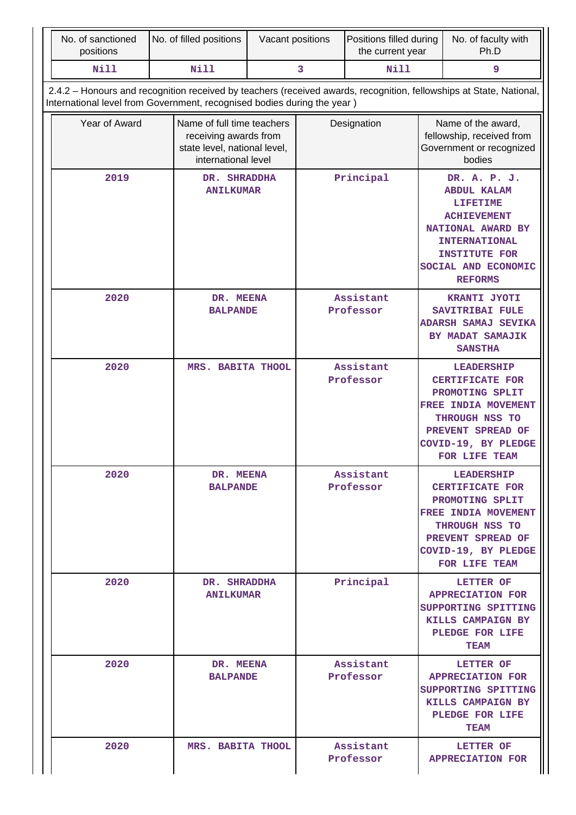| No. of sanctioned<br>positions | No. of filled positions                                                                                                                                                                        | Vacant positions |           | Positions filled during<br>the current year |                                                                                                                                                                                           | No. of faculty with<br>Ph.D                                                                                                                                          |
|--------------------------------|------------------------------------------------------------------------------------------------------------------------------------------------------------------------------------------------|------------------|-----------|---------------------------------------------|-------------------------------------------------------------------------------------------------------------------------------------------------------------------------------------------|----------------------------------------------------------------------------------------------------------------------------------------------------------------------|
| <b>Nill</b>                    | <b>Nill</b>                                                                                                                                                                                    |                  | 3         | <b>Nill</b>                                 |                                                                                                                                                                                           | 9                                                                                                                                                                    |
|                                | 2.4.2 - Honours and recognition received by teachers (received awards, recognition, fellowships at State, National,<br>International level from Government, recognised bodies during the year) |                  |           |                                             |                                                                                                                                                                                           |                                                                                                                                                                      |
| Year of Award                  | Name of full time teachers<br>receiving awards from<br>state level, national level,<br>international level                                                                                     |                  |           | Designation                                 |                                                                                                                                                                                           | Name of the award,<br>fellowship, received from<br>Government or recognized<br>bodies                                                                                |
| 2019                           | DR. SHRADDHA<br><b>ANILKUMAR</b>                                                                                                                                                               |                  | Principal |                                             | DR. A. P. J.<br><b>ABDUL KALAM</b><br><b>LIFETIME</b><br><b>ACHIEVEMENT</b><br>NATIONAL AWARD BY<br><b>INTERNATIONAL</b><br><b>INSTITUTE FOR</b><br>SOCIAL AND ECONOMIC<br><b>REFORMS</b> |                                                                                                                                                                      |
| 2020                           | DR. MEENA<br><b>BALPANDE</b>                                                                                                                                                                   |                  |           | Assistant<br>Professor                      |                                                                                                                                                                                           | KRANTI JYOTI<br><b>SAVITRIBAI FULE</b><br>ADARSH SAMAJ SEVIKA<br>BY MADAT SAMAJIK<br><b>SANSTHA</b>                                                                  |
| 2020                           | MRS. BABITA THOOL                                                                                                                                                                              |                  |           | Assistant<br>Professor                      |                                                                                                                                                                                           | <b>LEADERSHIP</b><br><b>CERTIFICATE FOR</b><br>PROMOTING SPLIT<br>FREE INDIA MOVEMENT<br>THROUGH NSS TO<br>PREVENT SPREAD OF<br>COVID-19, BY PLEDGE<br>FOR LIFE TEAM |
| 2020                           | DR. MEENA<br><b>BALPANDE</b>                                                                                                                                                                   |                  |           | Assistant<br>Professor                      |                                                                                                                                                                                           | <b>LEADERSHIP</b><br><b>CERTIFICATE FOR</b><br>PROMOTING SPLIT<br>FREE INDIA MOVEMENT<br>THROUGH NSS TO<br>PREVENT SPREAD OF<br>COVID-19, BY PLEDGE<br>FOR LIFE TEAM |
| 2020                           | DR. SHRADDHA<br><b>ANILKUMAR</b>                                                                                                                                                               |                  |           | Principal                                   |                                                                                                                                                                                           | LETTER OF<br><b>APPRECIATION FOR</b><br>SUPPORTING SPITTING<br>KILLS CAMPAIGN BY<br>PLEDGE FOR LIFE<br><b>TEAM</b>                                                   |
| 2020                           | DR. MEENA<br><b>BALPANDE</b>                                                                                                                                                                   |                  |           | Assistant<br>Professor                      |                                                                                                                                                                                           | LETTER OF<br><b>APPRECIATION FOR</b><br>SUPPORTING SPITTING<br>KILLS CAMPAIGN BY<br>PLEDGE FOR LIFE<br><b>TEAM</b>                                                   |
| 2020                           | MRS. BABITA THOOL                                                                                                                                                                              |                  |           | Assistant<br>Professor                      |                                                                                                                                                                                           | LETTER OF<br><b>APPRECIATION FOR</b>                                                                                                                                 |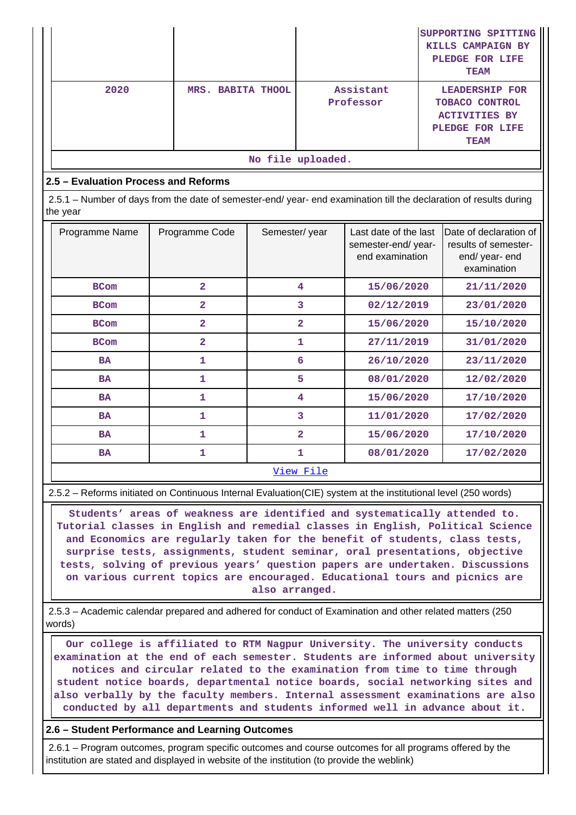|                   |                                                                                                                                |                         |               |                |                                                                |                                                                                                          | SUPPORTING SPITTING<br>KILLS CAMPAIGN BY<br>PLEDGE FOR LIFE<br><b>TEAM</b>      |  |  |  |  |
|-------------------|--------------------------------------------------------------------------------------------------------------------------------|-------------------------|---------------|----------------|----------------------------------------------------------------|----------------------------------------------------------------------------------------------------------|---------------------------------------------------------------------------------|--|--|--|--|
|                   | 2020                                                                                                                           | MRS. BABITA THOOL       |               |                | Assistant<br>Professor                                         | <b>LEADERSHIP FOR</b><br><b>TOBACO CONTROL</b><br><b>ACTIVITIES BY</b><br>PLEDGE FOR LIFE<br><b>TEAM</b> |                                                                                 |  |  |  |  |
| No file uploaded. |                                                                                                                                |                         |               |                |                                                                |                                                                                                          |                                                                                 |  |  |  |  |
|                   | 2.5 - Evaluation Process and Reforms                                                                                           |                         |               |                |                                                                |                                                                                                          |                                                                                 |  |  |  |  |
|                   | 2.5.1 - Number of days from the date of semester-end/ year- end examination till the declaration of results during<br>the year |                         |               |                |                                                                |                                                                                                          |                                                                                 |  |  |  |  |
|                   | Programme Name                                                                                                                 | Programme Code          | Semester/year |                | Last date of the last<br>semester-end/year-<br>end examination |                                                                                                          | Date of declaration of<br>results of semester-<br>end/ year- end<br>examination |  |  |  |  |
|                   | <b>BCom</b>                                                                                                                    | $\overline{\mathbf{2}}$ |               | 4              | 15/06/2020                                                     |                                                                                                          | 21/11/2020                                                                      |  |  |  |  |
|                   | <b>BCom</b>                                                                                                                    | $\overline{\mathbf{2}}$ |               | 3              | 02/12/2019                                                     |                                                                                                          | 23/01/2020                                                                      |  |  |  |  |
|                   | <b>BCom</b>                                                                                                                    | $\overline{a}$          |               | $\overline{2}$ | 15/06/2020                                                     |                                                                                                          | 15/10/2020                                                                      |  |  |  |  |
|                   | <b>BCom</b>                                                                                                                    | $\overline{2}$          |               | $\mathbf{1}$   | 27/11/2019                                                     |                                                                                                          | 31/01/2020                                                                      |  |  |  |  |
|                   | <b>BA</b>                                                                                                                      | $\mathbf{1}$            |               | 6              | 26/10/2020                                                     |                                                                                                          | 23/11/2020                                                                      |  |  |  |  |
|                   | <b>BA</b>                                                                                                                      | $\mathbf{1}$            |               | 5              | 08/01/2020                                                     |                                                                                                          | 12/02/2020                                                                      |  |  |  |  |
|                   | <b>BA</b>                                                                                                                      | 1                       |               | 4              | 15/06/2020                                                     |                                                                                                          | 17/10/2020                                                                      |  |  |  |  |
|                   | <b>BA</b>                                                                                                                      | $\mathbf{1}$            |               | 3              | 11/01/2020                                                     |                                                                                                          | 17/02/2020                                                                      |  |  |  |  |
|                   | <b>BA</b>                                                                                                                      | $\mathbf{1}$            |               | $\overline{a}$ | 15/06/2020                                                     |                                                                                                          | 17/10/2020                                                                      |  |  |  |  |
|                   | <b>BA</b>                                                                                                                      | 1                       |               | 1              | 08/01/2020                                                     |                                                                                                          | 17/02/2020                                                                      |  |  |  |  |

2.5.2 – Reforms initiated on Continuous Internal Evaluation(CIE) system at the institutional level (250 words)

 **Students' areas of weakness are identified and systematically attended to. Tutorial classes in English and remedial classes in English, Political Science and Economics are regularly taken for the benefit of students, class tests, surprise tests, assignments, student seminar, oral presentations, objective tests, solving of previous years' question papers are undertaken. Discussions on various current topics are encouraged. Educational tours and picnics are also arranged.**

 2.5.3 – Academic calendar prepared and adhered for conduct of Examination and other related matters (250 words)

 **Our college is affiliated to RTM Nagpur University. The university conducts examination at the end of each semester. Students are informed about university notices and circular related to the examination from time to time through student notice boards, departmental notice boards, social networking sites and also verbally by the faculty members. Internal assessment examinations are also conducted by all departments and students informed well in advance about it.**

**2.6 – Student Performance and Learning Outcomes**

 2.6.1 – Program outcomes, program specific outcomes and course outcomes for all programs offered by the institution are stated and displayed in website of the institution (to provide the weblink)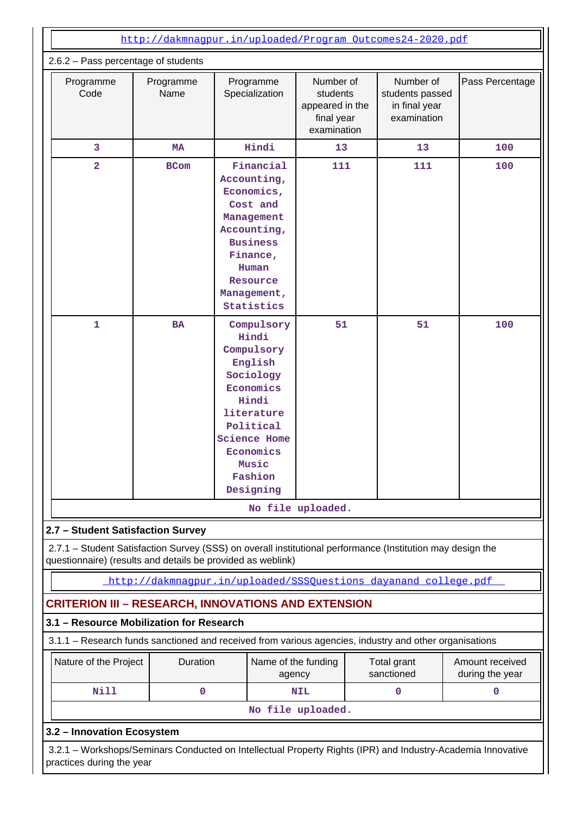| http://dakmnagpur.in/uploaded/Program Outcomes24-2020.pdf<br>2.6.2 - Pass percentage of students<br>Number of<br>Number of<br>Pass Percentage<br>Programme<br>Programme<br>Programme<br>Code<br>Name<br>Specialization<br>students<br>students passed<br>appeared in the<br>in final year<br>final year<br>examination<br>examination<br>Hindi<br>3<br>13<br>13<br>100<br><b>MA</b><br>2<br>Financial<br>111<br>111<br>100<br><b>BCom</b><br>Accounting,<br>Economics,<br>Cost and<br>Management<br>Accounting,<br><b>Business</b><br>Finance,<br>Human<br>Resource<br>Management,<br>Statistics<br>$\mathbf{1}$<br>51<br>BA<br>Compulsory<br>51<br>100<br>Hindi<br>Compulsory<br>English<br>Sociology<br>Economics<br>Hindi<br>literature<br>Political<br><b>Science Home</b><br>Economics<br>Music<br>Fashion<br>Designing<br>No file uploaded.<br>2.7 - Student Satisfaction Survey<br>2.7.1 - Student Satisfaction Survey (SSS) on overall institutional performance (Institution may design the<br>questionnaire) (results and details be provided as weblink)<br>http://dakmnaqpur.in/uploaded/SSSOuestions dayanand college.pdf<br><b>CRITERION III - RESEARCH, INNOVATIONS AND EXTENSION</b> |  |             |                               |                   |                                                                                                             |                                    |  |  |  |  |  |
|------------------------------------------------------------------------------------------------------------------------------------------------------------------------------------------------------------------------------------------------------------------------------------------------------------------------------------------------------------------------------------------------------------------------------------------------------------------------------------------------------------------------------------------------------------------------------------------------------------------------------------------------------------------------------------------------------------------------------------------------------------------------------------------------------------------------------------------------------------------------------------------------------------------------------------------------------------------------------------------------------------------------------------------------------------------------------------------------------------------------------------------------------------------------------------------------------|--|-------------|-------------------------------|-------------------|-------------------------------------------------------------------------------------------------------------|------------------------------------|--|--|--|--|--|
|                                                                                                                                                                                                                                                                                                                                                                                                                                                                                                                                                                                                                                                                                                                                                                                                                                                                                                                                                                                                                                                                                                                                                                                                      |  |             |                               |                   |                                                                                                             |                                    |  |  |  |  |  |
|                                                                                                                                                                                                                                                                                                                                                                                                                                                                                                                                                                                                                                                                                                                                                                                                                                                                                                                                                                                                                                                                                                                                                                                                      |  |             |                               |                   |                                                                                                             |                                    |  |  |  |  |  |
|                                                                                                                                                                                                                                                                                                                                                                                                                                                                                                                                                                                                                                                                                                                                                                                                                                                                                                                                                                                                                                                                                                                                                                                                      |  |             |                               |                   |                                                                                                             |                                    |  |  |  |  |  |
|                                                                                                                                                                                                                                                                                                                                                                                                                                                                                                                                                                                                                                                                                                                                                                                                                                                                                                                                                                                                                                                                                                                                                                                                      |  |             |                               |                   |                                                                                                             |                                    |  |  |  |  |  |
|                                                                                                                                                                                                                                                                                                                                                                                                                                                                                                                                                                                                                                                                                                                                                                                                                                                                                                                                                                                                                                                                                                                                                                                                      |  |             |                               |                   |                                                                                                             |                                    |  |  |  |  |  |
|                                                                                                                                                                                                                                                                                                                                                                                                                                                                                                                                                                                                                                                                                                                                                                                                                                                                                                                                                                                                                                                                                                                                                                                                      |  |             |                               |                   |                                                                                                             |                                    |  |  |  |  |  |
|                                                                                                                                                                                                                                                                                                                                                                                                                                                                                                                                                                                                                                                                                                                                                                                                                                                                                                                                                                                                                                                                                                                                                                                                      |  |             |                               |                   |                                                                                                             |                                    |  |  |  |  |  |
|                                                                                                                                                                                                                                                                                                                                                                                                                                                                                                                                                                                                                                                                                                                                                                                                                                                                                                                                                                                                                                                                                                                                                                                                      |  |             |                               |                   |                                                                                                             |                                    |  |  |  |  |  |
|                                                                                                                                                                                                                                                                                                                                                                                                                                                                                                                                                                                                                                                                                                                                                                                                                                                                                                                                                                                                                                                                                                                                                                                                      |  |             |                               |                   |                                                                                                             |                                    |  |  |  |  |  |
| 3.1 - Resource Mobilization for Research                                                                                                                                                                                                                                                                                                                                                                                                                                                                                                                                                                                                                                                                                                                                                                                                                                                                                                                                                                                                                                                                                                                                                             |  |             |                               |                   |                                                                                                             |                                    |  |  |  |  |  |
|                                                                                                                                                                                                                                                                                                                                                                                                                                                                                                                                                                                                                                                                                                                                                                                                                                                                                                                                                                                                                                                                                                                                                                                                      |  |             |                               |                   | 3.1.1 - Research funds sanctioned and received from various agencies, industry and other organisations      |                                    |  |  |  |  |  |
| Nature of the Project                                                                                                                                                                                                                                                                                                                                                                                                                                                                                                                                                                                                                                                                                                                                                                                                                                                                                                                                                                                                                                                                                                                                                                                |  | Duration    | Name of the funding<br>agency |                   | Total grant<br>sanctioned                                                                                   | Amount received<br>during the year |  |  |  |  |  |
| <b>Nill</b>                                                                                                                                                                                                                                                                                                                                                                                                                                                                                                                                                                                                                                                                                                                                                                                                                                                                                                                                                                                                                                                                                                                                                                                          |  | $\mathbf 0$ |                               | <b>NIL</b>        | 0                                                                                                           | $\mathbf 0$                        |  |  |  |  |  |
|                                                                                                                                                                                                                                                                                                                                                                                                                                                                                                                                                                                                                                                                                                                                                                                                                                                                                                                                                                                                                                                                                                                                                                                                      |  |             |                               | No file uploaded. |                                                                                                             |                                    |  |  |  |  |  |
| 3.2 - Innovation Ecosystem                                                                                                                                                                                                                                                                                                                                                                                                                                                                                                                                                                                                                                                                                                                                                                                                                                                                                                                                                                                                                                                                                                                                                                           |  |             |                               |                   |                                                                                                             |                                    |  |  |  |  |  |
| practices during the year                                                                                                                                                                                                                                                                                                                                                                                                                                                                                                                                                                                                                                                                                                                                                                                                                                                                                                                                                                                                                                                                                                                                                                            |  |             |                               |                   | 3.2.1 – Workshops/Seminars Conducted on Intellectual Property Rights (IPR) and Industry-Academia Innovative |                                    |  |  |  |  |  |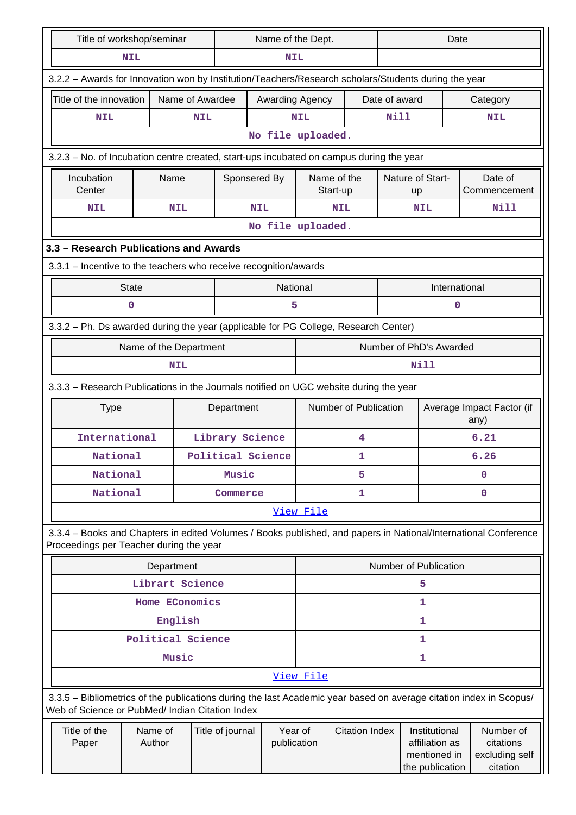|                                                                                                                                                                                                                                                                                                                                                                                                                                                                                                                                                                                                                                                                                                                                                                                                                                                                                                                                                                                                                                                                                                                                                                                                                                                                                                                                                                                                                                                                                                                                                                                                                                                                                                                       |                                                 |                   |                   |  |                  |         |             | Date                  |  |                                                                    |  |                                                                                                                    |  |
|-----------------------------------------------------------------------------------------------------------------------------------------------------------------------------------------------------------------------------------------------------------------------------------------------------------------------------------------------------------------------------------------------------------------------------------------------------------------------------------------------------------------------------------------------------------------------------------------------------------------------------------------------------------------------------------------------------------------------------------------------------------------------------------------------------------------------------------------------------------------------------------------------------------------------------------------------------------------------------------------------------------------------------------------------------------------------------------------------------------------------------------------------------------------------------------------------------------------------------------------------------------------------------------------------------------------------------------------------------------------------------------------------------------------------------------------------------------------------------------------------------------------------------------------------------------------------------------------------------------------------------------------------------------------------------------------------------------------------|-------------------------------------------------|-------------------|-------------------|--|------------------|---------|-------------|-----------------------|--|--------------------------------------------------------------------|--|--------------------------------------------------------------------------------------------------------------------|--|
| Title of workshop/seminar<br>Name of the Dept.<br><b>NIL</b><br><b>NIL</b><br>3.2.2 - Awards for Innovation won by Institution/Teachers/Research scholars/Students during the year<br>Name of Awardee<br>Title of the innovation<br>Awarding Agency<br>Date of award<br>Category<br><b>Nill</b><br><b>NIL</b><br><b>NIL</b><br><b>NIL</b><br><b>NIL</b><br>No file uploaded.<br>3.2.3 – No. of Incubation centre created, start-ups incubated on campus during the year<br>Incubation<br>Name of the<br>Name<br>Sponsered By<br>Nature of Start-<br>Date of<br>Center<br>Start-up<br>Commencement<br>up<br><b>NIL</b><br>Nill<br><b>NIL</b><br><b>NIL</b><br><b>NIL</b><br><b>NIL</b><br>No file uploaded.<br>3.3 - Research Publications and Awards<br>3.3.1 - Incentive to the teachers who receive recognition/awards<br>National<br>International<br><b>State</b><br>$\mathbf 0$<br>5<br>$\mathbf 0$<br>3.3.2 - Ph. Ds awarded during the year (applicable for PG College, Research Center)<br>Number of PhD's Awarded<br>Name of the Department<br>Nill<br><b>NIL</b><br>3.3.3 - Research Publications in the Journals notified on UGC website during the year<br><b>Number of Publication</b><br>Average Impact Factor (if<br><b>Type</b><br>Department<br>any)<br>6.21<br>International<br>Library Science<br>4<br>6.26<br>National<br>Political Science<br>1<br>National<br>Music<br>5<br>$\mathbf 0$<br>National<br>1<br>$\mathbf 0$<br>Commerce<br>View File<br>3.3.4 – Books and Chapters in edited Volumes / Books published, and papers in National/International Conference<br>Proceedings per Teacher during the year<br>Number of Publication<br>Department<br>Librart Science<br>5<br>Home EConomics |                                                 |                   |                   |  |                  |         |             |                       |  |                                                                    |  |                                                                                                                    |  |
|                                                                                                                                                                                                                                                                                                                                                                                                                                                                                                                                                                                                                                                                                                                                                                                                                                                                                                                                                                                                                                                                                                                                                                                                                                                                                                                                                                                                                                                                                                                                                                                                                                                                                                                       |                                                 |                   |                   |  |                  |         |             |                       |  |                                                                    |  |                                                                                                                    |  |
|                                                                                                                                                                                                                                                                                                                                                                                                                                                                                                                                                                                                                                                                                                                                                                                                                                                                                                                                                                                                                                                                                                                                                                                                                                                                                                                                                                                                                                                                                                                                                                                                                                                                                                                       |                                                 |                   |                   |  |                  |         |             |                       |  |                                                                    |  |                                                                                                                    |  |
|                                                                                                                                                                                                                                                                                                                                                                                                                                                                                                                                                                                                                                                                                                                                                                                                                                                                                                                                                                                                                                                                                                                                                                                                                                                                                                                                                                                                                                                                                                                                                                                                                                                                                                                       |                                                 |                   |                   |  |                  |         |             |                       |  |                                                                    |  |                                                                                                                    |  |
|                                                                                                                                                                                                                                                                                                                                                                                                                                                                                                                                                                                                                                                                                                                                                                                                                                                                                                                                                                                                                                                                                                                                                                                                                                                                                                                                                                                                                                                                                                                                                                                                                                                                                                                       |                                                 |                   |                   |  |                  |         |             |                       |  |                                                                    |  |                                                                                                                    |  |
|                                                                                                                                                                                                                                                                                                                                                                                                                                                                                                                                                                                                                                                                                                                                                                                                                                                                                                                                                                                                                                                                                                                                                                                                                                                                                                                                                                                                                                                                                                                                                                                                                                                                                                                       |                                                 |                   |                   |  |                  |         |             |                       |  |                                                                    |  |                                                                                                                    |  |
|                                                                                                                                                                                                                                                                                                                                                                                                                                                                                                                                                                                                                                                                                                                                                                                                                                                                                                                                                                                                                                                                                                                                                                                                                                                                                                                                                                                                                                                                                                                                                                                                                                                                                                                       |                                                 |                   |                   |  |                  |         |             |                       |  |                                                                    |  |                                                                                                                    |  |
|                                                                                                                                                                                                                                                                                                                                                                                                                                                                                                                                                                                                                                                                                                                                                                                                                                                                                                                                                                                                                                                                                                                                                                                                                                                                                                                                                                                                                                                                                                                                                                                                                                                                                                                       |                                                 |                   |                   |  |                  |         |             |                       |  |                                                                    |  |                                                                                                                    |  |
|                                                                                                                                                                                                                                                                                                                                                                                                                                                                                                                                                                                                                                                                                                                                                                                                                                                                                                                                                                                                                                                                                                                                                                                                                                                                                                                                                                                                                                                                                                                                                                                                                                                                                                                       |                                                 |                   |                   |  |                  |         |             |                       |  |                                                                    |  |                                                                                                                    |  |
|                                                                                                                                                                                                                                                                                                                                                                                                                                                                                                                                                                                                                                                                                                                                                                                                                                                                                                                                                                                                                                                                                                                                                                                                                                                                                                                                                                                                                                                                                                                                                                                                                                                                                                                       |                                                 |                   |                   |  |                  |         |             |                       |  |                                                                    |  |                                                                                                                    |  |
|                                                                                                                                                                                                                                                                                                                                                                                                                                                                                                                                                                                                                                                                                                                                                                                                                                                                                                                                                                                                                                                                                                                                                                                                                                                                                                                                                                                                                                                                                                                                                                                                                                                                                                                       |                                                 |                   |                   |  |                  |         |             |                       |  |                                                                    |  |                                                                                                                    |  |
|                                                                                                                                                                                                                                                                                                                                                                                                                                                                                                                                                                                                                                                                                                                                                                                                                                                                                                                                                                                                                                                                                                                                                                                                                                                                                                                                                                                                                                                                                                                                                                                                                                                                                                                       |                                                 |                   |                   |  |                  |         |             |                       |  |                                                                    |  |                                                                                                                    |  |
|                                                                                                                                                                                                                                                                                                                                                                                                                                                                                                                                                                                                                                                                                                                                                                                                                                                                                                                                                                                                                                                                                                                                                                                                                                                                                                                                                                                                                                                                                                                                                                                                                                                                                                                       |                                                 |                   |                   |  |                  |         |             |                       |  |                                                                    |  |                                                                                                                    |  |
|                                                                                                                                                                                                                                                                                                                                                                                                                                                                                                                                                                                                                                                                                                                                                                                                                                                                                                                                                                                                                                                                                                                                                                                                                                                                                                                                                                                                                                                                                                                                                                                                                                                                                                                       |                                                 |                   |                   |  |                  |         |             |                       |  |                                                                    |  |                                                                                                                    |  |
|                                                                                                                                                                                                                                                                                                                                                                                                                                                                                                                                                                                                                                                                                                                                                                                                                                                                                                                                                                                                                                                                                                                                                                                                                                                                                                                                                                                                                                                                                                                                                                                                                                                                                                                       |                                                 |                   |                   |  |                  |         |             |                       |  |                                                                    |  |                                                                                                                    |  |
|                                                                                                                                                                                                                                                                                                                                                                                                                                                                                                                                                                                                                                                                                                                                                                                                                                                                                                                                                                                                                                                                                                                                                                                                                                                                                                                                                                                                                                                                                                                                                                                                                                                                                                                       |                                                 |                   |                   |  |                  |         |             |                       |  |                                                                    |  |                                                                                                                    |  |
|                                                                                                                                                                                                                                                                                                                                                                                                                                                                                                                                                                                                                                                                                                                                                                                                                                                                                                                                                                                                                                                                                                                                                                                                                                                                                                                                                                                                                                                                                                                                                                                                                                                                                                                       |                                                 |                   |                   |  |                  |         |             |                       |  |                                                                    |  |                                                                                                                    |  |
|                                                                                                                                                                                                                                                                                                                                                                                                                                                                                                                                                                                                                                                                                                                                                                                                                                                                                                                                                                                                                                                                                                                                                                                                                                                                                                                                                                                                                                                                                                                                                                                                                                                                                                                       |                                                 |                   |                   |  |                  |         |             |                       |  |                                                                    |  |                                                                                                                    |  |
|                                                                                                                                                                                                                                                                                                                                                                                                                                                                                                                                                                                                                                                                                                                                                                                                                                                                                                                                                                                                                                                                                                                                                                                                                                                                                                                                                                                                                                                                                                                                                                                                                                                                                                                       |                                                 |                   |                   |  |                  |         |             |                       |  |                                                                    |  |                                                                                                                    |  |
|                                                                                                                                                                                                                                                                                                                                                                                                                                                                                                                                                                                                                                                                                                                                                                                                                                                                                                                                                                                                                                                                                                                                                                                                                                                                                                                                                                                                                                                                                                                                                                                                                                                                                                                       |                                                 |                   |                   |  |                  |         |             |                       |  |                                                                    |  |                                                                                                                    |  |
|                                                                                                                                                                                                                                                                                                                                                                                                                                                                                                                                                                                                                                                                                                                                                                                                                                                                                                                                                                                                                                                                                                                                                                                                                                                                                                                                                                                                                                                                                                                                                                                                                                                                                                                       |                                                 |                   |                   |  |                  |         |             |                       |  |                                                                    |  |                                                                                                                    |  |
|                                                                                                                                                                                                                                                                                                                                                                                                                                                                                                                                                                                                                                                                                                                                                                                                                                                                                                                                                                                                                                                                                                                                                                                                                                                                                                                                                                                                                                                                                                                                                                                                                                                                                                                       |                                                 |                   |                   |  |                  |         |             |                       |  |                                                                    |  |                                                                                                                    |  |
|                                                                                                                                                                                                                                                                                                                                                                                                                                                                                                                                                                                                                                                                                                                                                                                                                                                                                                                                                                                                                                                                                                                                                                                                                                                                                                                                                                                                                                                                                                                                                                                                                                                                                                                       |                                                 |                   |                   |  |                  |         |             |                       |  |                                                                    |  |                                                                                                                    |  |
|                                                                                                                                                                                                                                                                                                                                                                                                                                                                                                                                                                                                                                                                                                                                                                                                                                                                                                                                                                                                                                                                                                                                                                                                                                                                                                                                                                                                                                                                                                                                                                                                                                                                                                                       |                                                 |                   |                   |  |                  |         |             |                       |  |                                                                    |  |                                                                                                                    |  |
|                                                                                                                                                                                                                                                                                                                                                                                                                                                                                                                                                                                                                                                                                                                                                                                                                                                                                                                                                                                                                                                                                                                                                                                                                                                                                                                                                                                                                                                                                                                                                                                                                                                                                                                       |                                                 |                   |                   |  |                  |         |             |                       |  |                                                                    |  |                                                                                                                    |  |
|                                                                                                                                                                                                                                                                                                                                                                                                                                                                                                                                                                                                                                                                                                                                                                                                                                                                                                                                                                                                                                                                                                                                                                                                                                                                                                                                                                                                                                                                                                                                                                                                                                                                                                                       |                                                 |                   |                   |  |                  |         |             |                       |  |                                                                    |  |                                                                                                                    |  |
|                                                                                                                                                                                                                                                                                                                                                                                                                                                                                                                                                                                                                                                                                                                                                                                                                                                                                                                                                                                                                                                                                                                                                                                                                                                                                                                                                                                                                                                                                                                                                                                                                                                                                                                       |                                                 |                   |                   |  |                  |         |             |                       |  | 1                                                                  |  |                                                                                                                    |  |
|                                                                                                                                                                                                                                                                                                                                                                                                                                                                                                                                                                                                                                                                                                                                                                                                                                                                                                                                                                                                                                                                                                                                                                                                                                                                                                                                                                                                                                                                                                                                                                                                                                                                                                                       |                                                 |                   | English           |  |                  |         |             |                       |  | 1                                                                  |  |                                                                                                                    |  |
|                                                                                                                                                                                                                                                                                                                                                                                                                                                                                                                                                                                                                                                                                                                                                                                                                                                                                                                                                                                                                                                                                                                                                                                                                                                                                                                                                                                                                                                                                                                                                                                                                                                                                                                       |                                                 |                   | Political Science |  |                  |         |             |                       |  | 1                                                                  |  |                                                                                                                    |  |
|                                                                                                                                                                                                                                                                                                                                                                                                                                                                                                                                                                                                                                                                                                                                                                                                                                                                                                                                                                                                                                                                                                                                                                                                                                                                                                                                                                                                                                                                                                                                                                                                                                                                                                                       |                                                 |                   | Music             |  |                  |         |             |                       |  | 1                                                                  |  |                                                                                                                    |  |
|                                                                                                                                                                                                                                                                                                                                                                                                                                                                                                                                                                                                                                                                                                                                                                                                                                                                                                                                                                                                                                                                                                                                                                                                                                                                                                                                                                                                                                                                                                                                                                                                                                                                                                                       |                                                 |                   |                   |  |                  |         | View File   |                       |  |                                                                    |  |                                                                                                                    |  |
|                                                                                                                                                                                                                                                                                                                                                                                                                                                                                                                                                                                                                                                                                                                                                                                                                                                                                                                                                                                                                                                                                                                                                                                                                                                                                                                                                                                                                                                                                                                                                                                                                                                                                                                       | Web of Science or PubMed/ Indian Citation Index |                   |                   |  |                  |         |             |                       |  |                                                                    |  | 3.3.5 - Bibliometrics of the publications during the last Academic year based on average citation index in Scopus/ |  |
|                                                                                                                                                                                                                                                                                                                                                                                                                                                                                                                                                                                                                                                                                                                                                                                                                                                                                                                                                                                                                                                                                                                                                                                                                                                                                                                                                                                                                                                                                                                                                                                                                                                                                                                       | Title of the<br>Paper                           | Name of<br>Author |                   |  | Title of journal | Year of | publication | <b>Citation Index</b> |  | Institutional<br>affiliation as<br>mentioned in<br>the publication |  | Number of<br>citations<br>excluding self<br>citation                                                               |  |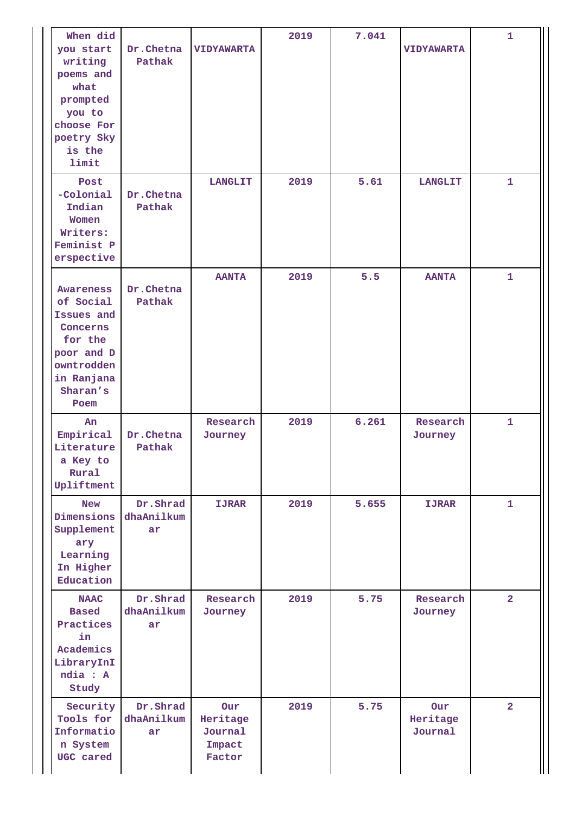| When did<br>you start<br>writing<br>poems and<br>what<br>prompted<br>you to<br>choose For<br>poetry Sky<br>is the<br>limit       | Dr.Chetna<br>Pathak          | <b>VIDYAWARTA</b>                              | 2019 | 7.041 | <b>VIDYAWARTA</b>          | $\mathbf{1}$   |
|----------------------------------------------------------------------------------------------------------------------------------|------------------------------|------------------------------------------------|------|-------|----------------------------|----------------|
| Post<br>-Colonial<br>Indian<br>Women<br>Writers:<br>Feminist P<br>erspective                                                     | Dr.Chetna<br>Pathak          | <b>LANGLIT</b>                                 | 2019 | 5.61  | <b>LANGLIT</b>             | $\mathbf{1}$   |
| <b>Awareness</b><br>of Social<br>Issues and<br>Concerns<br>for the<br>poor and D<br>owntrodden<br>in Ranjana<br>Sharan's<br>Poem | Dr.Chetna<br>Pathak          | <b>AANTA</b>                                   | 2019 | 5.5   | <b>AANTA</b>               | $\mathbf{1}$   |
| An<br>Empirical<br>Literature<br>a Key to<br>Rural<br>Upliftment                                                                 | Dr.Chetna<br>Pathak          | Research<br>Journey                            | 2019 | 6.261 | Research<br>Journey        | $\mathbf{1}$   |
| <b>New</b><br>Dimensions<br>Supplement<br>ary<br>Learning<br>In Higher<br>Education                                              | Dr.Shrad<br>dhaAnilkum<br>ar | <b>IJRAR</b>                                   | 2019 | 5.655 | <b>IJRAR</b>               | $\mathbf{1}$   |
| <b>NAAC</b><br><b>Based</b><br>Practices<br>in<br>Academics<br>LibraryInI<br>ndia : A<br>Study                                   | Dr.Shrad<br>dhaAnilkum<br>ar | Research<br>Journey                            | 2019 | 5.75  | Research<br>Journey        | $\overline{a}$ |
| Security<br>Tools for<br>Informatio<br>n System<br>UGC cared                                                                     | Dr.Shrad<br>dhaAnilkum<br>ar | Our<br>Heritage<br>Journal<br>Impact<br>Factor | 2019 | 5.75  | Our<br>Heritage<br>Journal | $\overline{2}$ |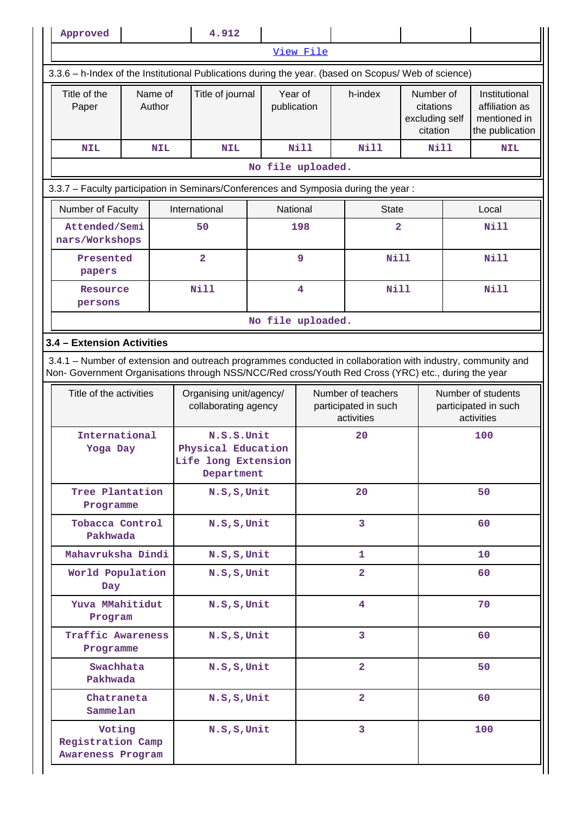| Approved                                                                                                                                                                                                           |              |                   |                                                                       | 4.912            |  |                        |                   |  |                                                          |                                                      |                                                                 |                                                                    |  |
|--------------------------------------------------------------------------------------------------------------------------------------------------------------------------------------------------------------------|--------------|-------------------|-----------------------------------------------------------------------|------------------|--|------------------------|-------------------|--|----------------------------------------------------------|------------------------------------------------------|-----------------------------------------------------------------|--------------------------------------------------------------------|--|
|                                                                                                                                                                                                                    |              |                   |                                                                       |                  |  |                        | View File         |  |                                                          |                                                      |                                                                 |                                                                    |  |
| 3.3.6 - h-Index of the Institutional Publications during the year. (based on Scopus/ Web of science)                                                                                                               |              |                   |                                                                       |                  |  |                        |                   |  |                                                          |                                                      |                                                                 |                                                                    |  |
| Title of the<br>Paper                                                                                                                                                                                              |              | Name of<br>Author |                                                                       | Title of journal |  | Year of<br>publication |                   |  | h-index                                                  | Number of<br>citations<br>excluding self<br>citation |                                                                 | Institutional<br>affiliation as<br>mentioned in<br>the publication |  |
| <b>NIL</b>                                                                                                                                                                                                         |              | <b>NIL</b>        |                                                                       | <b>NIL</b>       |  |                        | Nill              |  | <b>Nill</b>                                              |                                                      | <b>Nill</b><br><b>NIL</b>                                       |                                                                    |  |
|                                                                                                                                                                                                                    |              |                   |                                                                       |                  |  |                        | No file uploaded. |  |                                                          |                                                      |                                                                 |                                                                    |  |
| 3.3.7 - Faculty participation in Seminars/Conferences and Symposia during the year:                                                                                                                                |              |                   |                                                                       |                  |  |                        |                   |  |                                                          |                                                      |                                                                 |                                                                    |  |
| Number of Faculty                                                                                                                                                                                                  |              |                   |                                                                       | International    |  | National               |                   |  | <b>State</b>                                             |                                                      |                                                                 | Local                                                              |  |
| Attended/Semi<br>nars/Workshops                                                                                                                                                                                    |              |                   |                                                                       | 50               |  |                        | 198               |  | $\overline{\mathbf{2}}$                                  |                                                      |                                                                 | <b>Nill</b>                                                        |  |
| Presented<br>papers                                                                                                                                                                                                |              |                   |                                                                       | $\overline{a}$   |  |                        | 9                 |  | <b>Nill</b>                                              |                                                      |                                                                 | Nill                                                               |  |
| Resource<br>persons                                                                                                                                                                                                |              |                   |                                                                       | <b>Nill</b>      |  |                        | 4                 |  | <b>Nill</b>                                              |                                                      |                                                                 | <b>Nill</b>                                                        |  |
|                                                                                                                                                                                                                    |              |                   |                                                                       |                  |  |                        | No file uploaded. |  |                                                          |                                                      |                                                                 |                                                                    |  |
| 3.4 - Extension Activities                                                                                                                                                                                         |              |                   |                                                                       |                  |  |                        |                   |  |                                                          |                                                      |                                                                 |                                                                    |  |
| 3.4.1 – Number of extension and outreach programmes conducted in collaboration with industry, community and<br>Non- Government Organisations through NSS/NCC/Red cross/Youth Red Cross (YRC) etc., during the year |              |                   |                                                                       |                  |  |                        |                   |  |                                                          |                                                      |                                                                 |                                                                    |  |
| Title of the activities                                                                                                                                                                                            |              |                   | Organising unit/agency/<br>collaborating agency                       |                  |  |                        |                   |  | Number of teachers<br>participated in such<br>activities |                                                      | Number of students<br>participated in such<br>activities<br>100 |                                                                    |  |
| International<br>Yoga Day                                                                                                                                                                                          |              |                   | N.S.S.Unit<br>Physical Education<br>Life long Extension<br>Department |                  |  |                        | 20                |  |                                                          |                                                      |                                                                 |                                                                    |  |
| Tree Plantation<br>Programme                                                                                                                                                                                       |              |                   |                                                                       | N.S, S, Unit     |  |                        | 20                |  |                                                          |                                                      | 50                                                              |                                                                    |  |
| Tobacca Control<br>Pakhwada                                                                                                                                                                                        |              |                   |                                                                       | N.S, S, Unit     |  |                        | 3                 |  |                                                          |                                                      |                                                                 | 60                                                                 |  |
| Mahavruksha Dindi                                                                                                                                                                                                  |              |                   |                                                                       | N.S, S, Unit     |  |                        |                   |  | $\mathbf{1}$                                             |                                                      |                                                                 | 10 <sub>1</sub>                                                    |  |
| World Population<br>Day                                                                                                                                                                                            |              |                   |                                                                       | N.S, S, Unit     |  |                        |                   |  | $\overline{2}$                                           |                                                      |                                                                 | 60                                                                 |  |
| Yuva MMahitidut<br>Program                                                                                                                                                                                         |              |                   |                                                                       | N.S, S, Unit     |  |                        |                   |  | $\overline{4}$                                           |                                                      |                                                                 | 70                                                                 |  |
| <b>Traffic Awareness</b><br>Programme                                                                                                                                                                              |              |                   |                                                                       | N.S, S, Unit     |  |                        |                   |  | $\overline{3}$                                           |                                                      |                                                                 | 60                                                                 |  |
| Swachhata<br>Pakhwada                                                                                                                                                                                              |              |                   |                                                                       | N.S, S, Unit     |  |                        |                   |  | $\overline{2}$                                           |                                                      |                                                                 | 50                                                                 |  |
| Chatraneta<br>Sammelan                                                                                                                                                                                             | N.S, S, Unit |                   |                                                                       |                  |  | $\overline{a}$         |                   |  | 60                                                       |                                                      |                                                                 |                                                                    |  |
| Voting<br><b>Registration Camp</b><br>Awareness Program                                                                                                                                                            |              |                   |                                                                       | N.S, S, Unit     |  |                        |                   |  | 3                                                        |                                                      |                                                                 | 100                                                                |  |

Н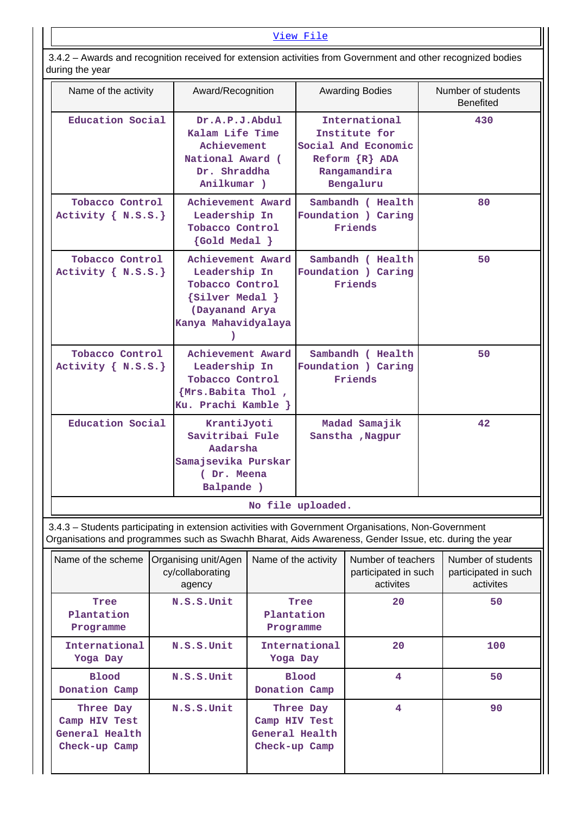3.4.2 – Awards and recognition received for extension activities from Government and other recognized bodies during the year

| Name of the activity                                                                                                                                                                                           | Award/Recognition                                                                                                  |                         |                                                     | <b>Awarding Bodies</b>                                                                                     |                                                         | Number of students<br><b>Benefited</b> |  |
|----------------------------------------------------------------------------------------------------------------------------------------------------------------------------------------------------------------|--------------------------------------------------------------------------------------------------------------------|-------------------------|-----------------------------------------------------|------------------------------------------------------------------------------------------------------------|---------------------------------------------------------|----------------------------------------|--|
| Education Social                                                                                                                                                                                               | Dr.A.P.J.Abdul<br>Kalam Life Time<br>Achievement<br>National Award (<br>Dr. Shraddha<br>Anilkumar )                |                         |                                                     | International<br>Institute for<br>Social And Economic<br>$Reform R$ $R$ $ADA$<br>Rangamandira<br>Bengaluru |                                                         | 430                                    |  |
| Tobacco Control<br>Activity $\{ N.S.S.\}$                                                                                                                                                                      | Achievement Award<br>Leadership In<br><b>Tobacco Control</b><br>$\{Gold Medal\}$                                   |                         | Sambandh ( Health<br>Foundation ) Caring<br>Friends |                                                                                                            |                                                         | 80                                     |  |
| <b>Tobacco Control</b><br>Activity $\{ N.S.S.\}$                                                                                                                                                               | Achievement Award<br>Leadership In<br>Tobacco Control<br>${silver Medal}$<br>(Dayanand Arya<br>Kanya Mahavidyalaya |                         |                                                     | Sambandh ( Health<br>Foundation ) Caring<br>Friends                                                        |                                                         | 50                                     |  |
| Tobacco Control<br>Activity $\{ N.S.S.\}$                                                                                                                                                                      | Achievement Award<br>Leadership In<br>Tobacco Control<br>{Mrs.Babita Thol,<br>Ku. Prachi Kamble }                  |                         |                                                     | Sambandh ( Health<br>Foundation ) Caring<br>Friends                                                        | 50                                                      |                                        |  |
| Education Social                                                                                                                                                                                               | KrantiJyoti<br>Savitribai Fule<br>Aadarsha<br>Samajsevika Purskar<br>(Dr. Meena<br>Balpande )                      |                         |                                                     | Madad Samajik<br>Sanstha , Nagpur                                                                          | 42                                                      |                                        |  |
|                                                                                                                                                                                                                |                                                                                                                    |                         | No file uploaded                                    |                                                                                                            |                                                         |                                        |  |
| 3.4.3 - Students participating in extension activities with Government Organisations, Non-Government<br>Organisations and programmes such as Swachh Bharat, Aids Awareness, Gender Issue, etc. during the year |                                                                                                                    |                         |                                                     |                                                                                                            |                                                         |                                        |  |
| Name of the scheme                                                                                                                                                                                             | Organising unit/Agen<br>cy/collaborating<br>agency                                                                 | Name of the activity    |                                                     | Number of teachers<br>participated in such<br>activites                                                    | Number of students<br>participated in such<br>activites |                                        |  |
| Tree<br>Plantation<br>Programme                                                                                                                                                                                | N.S.S.Unit                                                                                                         | Plantation<br>Programme | Tree                                                | 20                                                                                                         |                                                         | 50                                     |  |

| Name of the scheme                                            | Organising unit/Agen<br>cy/collaborating<br>agency | Name of the activity                                          | Number of teachers<br>participated in such<br>activites | Number of students<br>participated in such<br>activites |
|---------------------------------------------------------------|----------------------------------------------------|---------------------------------------------------------------|---------------------------------------------------------|---------------------------------------------------------|
| Tree<br>Plantation<br>Programme                               | N.S.S.Unit                                         | Tree<br>Plantation<br>Programme                               | 20                                                      | 50                                                      |
| International<br>Yoga Day                                     | N.S.S.Unit                                         | International<br>Yoga Day                                     | 20                                                      | 100                                                     |
| <b>Blood</b><br>Donation Camp                                 | N.S.S.Unit                                         | Blood<br>Donation Camp                                        | 4                                                       | 50                                                      |
| Three Day<br>Camp HIV Test<br>General Health<br>Check-up Camp | N.S.S.Unit                                         | Three Day<br>Camp HIV Test<br>General Health<br>Check-up Camp | 4                                                       | 90                                                      |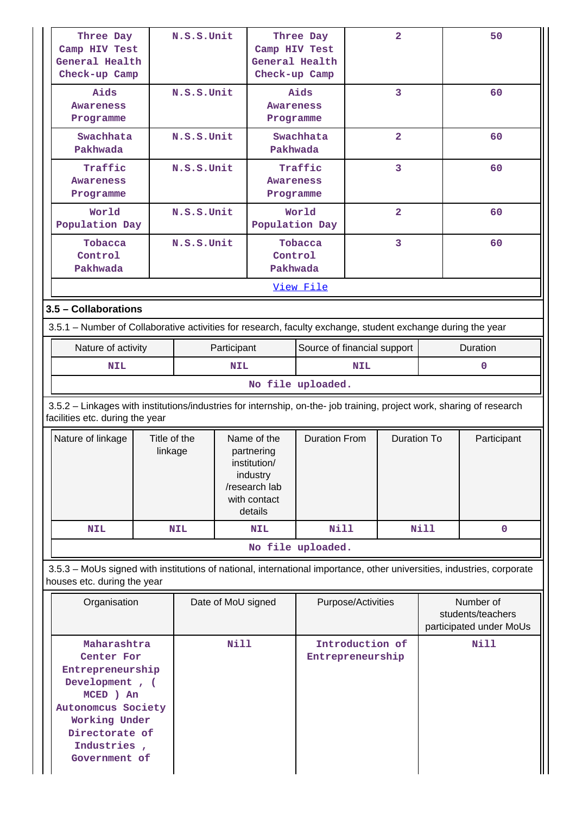| Three Day<br>Camp HIV Test<br>General Health<br>Check-up Camp                                                                                                         |                         | N.S.S.Unit  |                                                                                                   | Camp HIV Test<br>Check-up Camp | Three Day<br>General Health             |                    | $\overline{\mathbf{2}}$ |      | 50                                                        |
|-----------------------------------------------------------------------------------------------------------------------------------------------------------------------|-------------------------|-------------|---------------------------------------------------------------------------------------------------|--------------------------------|-----------------------------------------|--------------------|-------------------------|------|-----------------------------------------------------------|
| Aids<br>Awareness<br>Programme                                                                                                                                        |                         | N.S.S.Unit  |                                                                                                   | <b>Awareness</b><br>Programme  | Aids                                    |                    | 3                       |      | 60                                                        |
| Swachhata<br>Pakhwada                                                                                                                                                 |                         | N.S.S.Unit  |                                                                                                   |                                | $\overline{a}$<br>Swachhata<br>Pakhwada |                    |                         | 60   |                                                           |
| Traffic<br>Awareness<br>Programme                                                                                                                                     |                         | N.S.S.Unit  |                                                                                                   | Awareness<br>Programme         | Traffic                                 | 3                  |                         |      | 60                                                        |
| World<br>Population Day                                                                                                                                               |                         | N.S.S.Unit  |                                                                                                   | Population Day                 | World                                   |                    | $\overline{2}$          |      | 60                                                        |
| Tobacca<br>Control<br>Pakhwada                                                                                                                                        | N.S.S.Unit              |             |                                                                                                   |                                | Tobacca<br>Control<br>Pakhwada          |                    | 60                      |      |                                                           |
|                                                                                                                                                                       |                         |             |                                                                                                   |                                | View File                               |                    |                         |      |                                                           |
| 3.5 - Collaborations                                                                                                                                                  |                         |             |                                                                                                   |                                |                                         |                    |                         |      |                                                           |
| 3.5.1 – Number of Collaborative activities for research, faculty exchange, student exchange during the year                                                           |                         |             |                                                                                                   |                                |                                         |                    |                         |      |                                                           |
| Nature of activity                                                                                                                                                    |                         | Participant |                                                                                                   | Source of financial support    |                                         |                    | Duration                |      |                                                           |
| <b>NIL</b>                                                                                                                                                            |                         |             | <b>NIL</b>                                                                                        |                                |                                         | <b>NIL</b>         |                         |      | $\mathbf 0$                                               |
|                                                                                                                                                                       |                         |             |                                                                                                   |                                | No file uploaded.                       |                    |                         |      |                                                           |
| 3.5.2 - Linkages with institutions/industries for internship, on-the- job training, project work, sharing of research<br>facilities etc. during the year              |                         |             |                                                                                                   |                                |                                         |                    |                         |      |                                                           |
| Nature of linkage                                                                                                                                                     | Title of the<br>linkage |             | Name of the<br>partnering<br>institution/<br>industry<br>/research lab<br>with contact<br>details |                                | <b>Duration From</b>                    |                    | <b>Duration To</b>      |      | Participant                                               |
| <b>NIL</b>                                                                                                                                                            |                         | <b>NIL</b>  |                                                                                                   | <b>NIL</b>                     | <b>Nill</b>                             |                    |                         | Nill | $\mathbf 0$                                               |
|                                                                                                                                                                       |                         |             |                                                                                                   |                                | No file uploaded.                       |                    |                         |      |                                                           |
| 3.5.3 - MoUs signed with institutions of national, international importance, other universities, industries, corporate<br>houses etc. during the year                 |                         |             |                                                                                                   |                                |                                         |                    |                         |      |                                                           |
| Organisation                                                                                                                                                          | Date of MoU signed      |             |                                                                                                   |                                |                                         | Purpose/Activities |                         |      | Number of<br>students/teachers<br>participated under MoUs |
| Maharashtra<br>Center For<br>Entrepreneurship<br>Development, (<br>MCED ) An<br>Autonomcus Society<br>Working Under<br>Directorate of<br>Industries,<br>Government of |                         |             | <b>Nill</b>                                                                                       |                                | Entrepreneurship                        | Introduction of    |                         |      | Nill                                                      |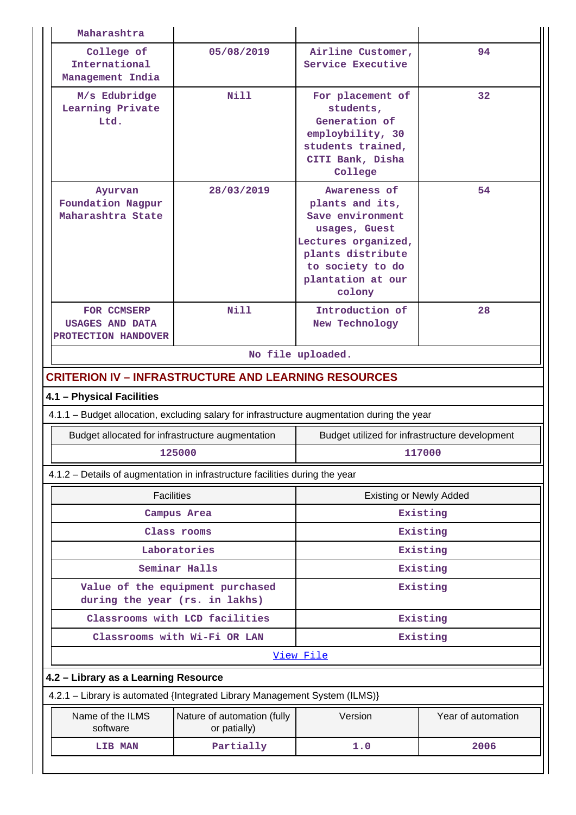| Maharashtra                                                                                 |                                                  |                                                                                                                                                                     |                    |  |  |  |  |  |  |
|---------------------------------------------------------------------------------------------|--------------------------------------------------|---------------------------------------------------------------------------------------------------------------------------------------------------------------------|--------------------|--|--|--|--|--|--|
| College of<br>International<br>Management India                                             | 05/08/2019                                       | Airline Customer,<br>Service Executive                                                                                                                              | 94                 |  |  |  |  |  |  |
| M/s Edubridge<br>Learning Private<br>Ltd.                                                   | Nill                                             | For placement of<br>students,<br>Generation of<br>employbility, 30<br>students trained,<br>CITI Bank, Disha<br>College                                              | 32                 |  |  |  |  |  |  |
| Ayurvan<br>Foundation Nagpur<br>Maharashtra State                                           | 28/03/2019                                       | Awareness of<br>plants and its,<br>Save environment<br>usages, Guest<br>Lectures organized,<br>plants distribute<br>to society to do<br>plantation at our<br>colony | 54                 |  |  |  |  |  |  |
| FOR CCMSERP<br><b>USAGES AND DATA</b><br>PROTECTION HANDOVER                                | Nill                                             | Introduction of<br>New Technology                                                                                                                                   | 28                 |  |  |  |  |  |  |
|                                                                                             |                                                  | No file uploaded.                                                                                                                                                   |                    |  |  |  |  |  |  |
| <b>CRITERION IV - INFRASTRUCTURE AND LEARNING RESOURCES</b>                                 |                                                  |                                                                                                                                                                     |                    |  |  |  |  |  |  |
| 4.1 - Physical Facilities                                                                   |                                                  |                                                                                                                                                                     |                    |  |  |  |  |  |  |
| 4.1.1 - Budget allocation, excluding salary for infrastructure augmentation during the year |                                                  |                                                                                                                                                                     |                    |  |  |  |  |  |  |
|                                                                                             | Budget allocated for infrastructure augmentation | Budget utilized for infrastructure development                                                                                                                      |                    |  |  |  |  |  |  |
|                                                                                             | 125000                                           | 117000                                                                                                                                                              |                    |  |  |  |  |  |  |
| 4.1.2 – Details of augmentation in infrastructure facilities during the year                |                                                  |                                                                                                                                                                     |                    |  |  |  |  |  |  |
|                                                                                             | <b>Facilities</b>                                | <b>Existing or Newly Added</b>                                                                                                                                      |                    |  |  |  |  |  |  |
|                                                                                             | Campus Area                                      | Existing                                                                                                                                                            |                    |  |  |  |  |  |  |
|                                                                                             | Class rooms                                      | Existing                                                                                                                                                            |                    |  |  |  |  |  |  |
|                                                                                             | Laboratories                                     |                                                                                                                                                                     | Existing           |  |  |  |  |  |  |
|                                                                                             | Seminar Halls                                    |                                                                                                                                                                     | Existing           |  |  |  |  |  |  |
| during the year (rs. in lakhs)                                                              | Value of the equipment purchased                 |                                                                                                                                                                     | Existing           |  |  |  |  |  |  |
|                                                                                             | Classrooms with LCD facilities                   |                                                                                                                                                                     | Existing           |  |  |  |  |  |  |
|                                                                                             | Classrooms with Wi-Fi OR LAN                     |                                                                                                                                                                     | Existing           |  |  |  |  |  |  |
|                                                                                             | View File                                        |                                                                                                                                                                     |                    |  |  |  |  |  |  |
|                                                                                             | 4.2 - Library as a Learning Resource             |                                                                                                                                                                     |                    |  |  |  |  |  |  |
| 4.2.1 - Library is automated {Integrated Library Management System (ILMS)}                  |                                                  |                                                                                                                                                                     |                    |  |  |  |  |  |  |
| Name of the ILMS<br>software                                                                | Nature of automation (fully<br>or patially)      | Version                                                                                                                                                             | Year of automation |  |  |  |  |  |  |
| LIB MAN                                                                                     | Partially                                        | 1.0                                                                                                                                                                 | 2006               |  |  |  |  |  |  |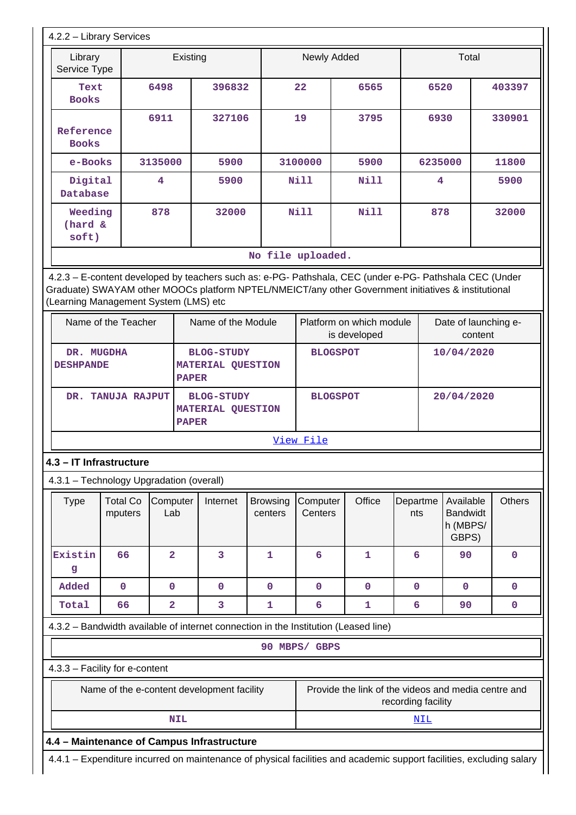| 4.2.2 - Library Services                                                            |                                            |                         |              |                                               |                            |                     |                                                                                                                                                                                                                                            |                    |                                                   |         |               |
|-------------------------------------------------------------------------------------|--------------------------------------------|-------------------------|--------------|-----------------------------------------------|----------------------------|---------------------|--------------------------------------------------------------------------------------------------------------------------------------------------------------------------------------------------------------------------------------------|--------------------|---------------------------------------------------|---------|---------------|
| Library<br>Service Type                                                             |                                            |                         | Existing     |                                               |                            | Newly Added         |                                                                                                                                                                                                                                            |                    |                                                   | Total   |               |
| Text<br><b>Books</b>                                                                |                                            | 6498                    |              | 396832                                        |                            | 22                  | 6565                                                                                                                                                                                                                                       |                    | 6520                                              |         | 403397        |
| Reference<br><b>Books</b>                                                           |                                            | 6911                    |              | 327106                                        |                            | 19                  | 3795                                                                                                                                                                                                                                       |                    | 6930                                              |         | 330901        |
| e-Books                                                                             |                                            | 3135000                 |              | 5900                                          |                            | 3100000<br>5900     |                                                                                                                                                                                                                                            |                    | 6235000                                           |         | 11800         |
| Digital<br>Database                                                                 |                                            | 4                       |              | 5900                                          |                            | Nill                | Nill                                                                                                                                                                                                                                       |                    | 4                                                 |         | 5900          |
| Weeding<br>(hard &<br>soft)                                                         |                                            | 878                     |              | 32000                                         |                            | Nill<br>Nill        |                                                                                                                                                                                                                                            |                    | 878                                               |         | 32000         |
|                                                                                     |                                            |                         |              |                                               | No file uploaded.          |                     |                                                                                                                                                                                                                                            |                    |                                                   |         |               |
| (Learning Management System (LMS) etc                                               | Name of the Teacher                        |                         |              | Name of the Module                            |                            |                     | 4.2.3 - E-content developed by teachers such as: e-PG- Pathshala, CEC (under e-PG- Pathshala CEC (Under<br>Graduate) SWAYAM other MOOCs platform NPTEL/NMEICT/any other Government initiatives & institutional<br>Platform on which module |                    |                                                   |         |               |
|                                                                                     |                                            |                         |              |                                               |                            |                     | is developed                                                                                                                                                                                                                               |                    | Date of launching e-                              | content |               |
| DR. MUGDHA<br><b>DESHPANDE</b>                                                      |                                            |                         | <b>PAPER</b> | <b>BLOG-STUDY</b><br><b>MATERIAL QUESTION</b> |                            | <b>BLOGSPOT</b>     |                                                                                                                                                                                                                                            |                    | 10/04/2020                                        |         |               |
|                                                                                     | DR. TANUJA RAJPUT                          |                         | <b>PAPER</b> | <b>BLOG-STUDY</b><br><b>MATERIAL QUESTION</b> |                            | <b>BLOGSPOT</b>     |                                                                                                                                                                                                                                            |                    | 20/04/2020                                        |         |               |
|                                                                                     |                                            |                         |              |                                               |                            | View File           |                                                                                                                                                                                                                                            |                    |                                                   |         |               |
| 4.3 - IT Infrastructure                                                             |                                            |                         |              |                                               |                            |                     |                                                                                                                                                                                                                                            |                    |                                                   |         |               |
| 4.3.1 - Technology Upgradation (overall)                                            |                                            |                         |              |                                               |                            |                     |                                                                                                                                                                                                                                            |                    |                                                   |         |               |
| <b>Type</b>                                                                         | <b>Total Co</b><br>mputers                 | Computer<br>Lab         |              | Internet                                      | <b>Browsing</b><br>centers | Computer<br>Centers | Office                                                                                                                                                                                                                                     | Departme<br>nts    | Available<br><b>Bandwidt</b><br>h (MBPS/<br>GBPS) |         | <b>Others</b> |
| Existin<br>g                                                                        | 66                                         | $\overline{2}$          |              | 3                                             | $\mathbf{1}$               | $6\overline{6}$     | 1                                                                                                                                                                                                                                          | 6                  | 90                                                |         | $\mathbf 0$   |
| Added                                                                               | $\mathbf 0$                                | 0                       |              | 0                                             | $\mathbf 0$                | $\mathbf 0$         | 0                                                                                                                                                                                                                                          | 0                  | $\mathbf 0$                                       |         | 0             |
| Total                                                                               | 66                                         | $\overline{\mathbf{2}}$ |              | 3                                             | 1                          | 6                   | 1                                                                                                                                                                                                                                          | 6                  | 90                                                |         | 0             |
| 4.3.2 - Bandwidth available of internet connection in the Institution (Leased line) |                                            |                         |              |                                               |                            |                     |                                                                                                                                                                                                                                            |                    |                                                   |         |               |
|                                                                                     |                                            |                         |              |                                               |                            | 90 MBPS/ GBPS       |                                                                                                                                                                                                                                            |                    |                                                   |         |               |
| 4.3.3 - Facility for e-content                                                      |                                            |                         |              |                                               |                            |                     |                                                                                                                                                                                                                                            |                    |                                                   |         |               |
|                                                                                     | Name of the e-content development facility |                         |              |                                               |                            |                     | Provide the link of the videos and media centre and                                                                                                                                                                                        | recording facility |                                                   |         |               |
|                                                                                     |                                            |                         | <b>NIL</b>   |                                               |                            |                     |                                                                                                                                                                                                                                            | <u>NIL</u>         |                                                   |         |               |
| 4.4 - Maintenance of Campus Infrastructure                                          |                                            |                         |              |                                               |                            |                     |                                                                                                                                                                                                                                            |                    |                                                   |         |               |
|                                                                                     |                                            |                         |              |                                               |                            |                     | 4.4.1 - Expenditure incurred on maintenance of physical facilities and academic support facilities, excluding salary                                                                                                                       |                    |                                                   |         |               |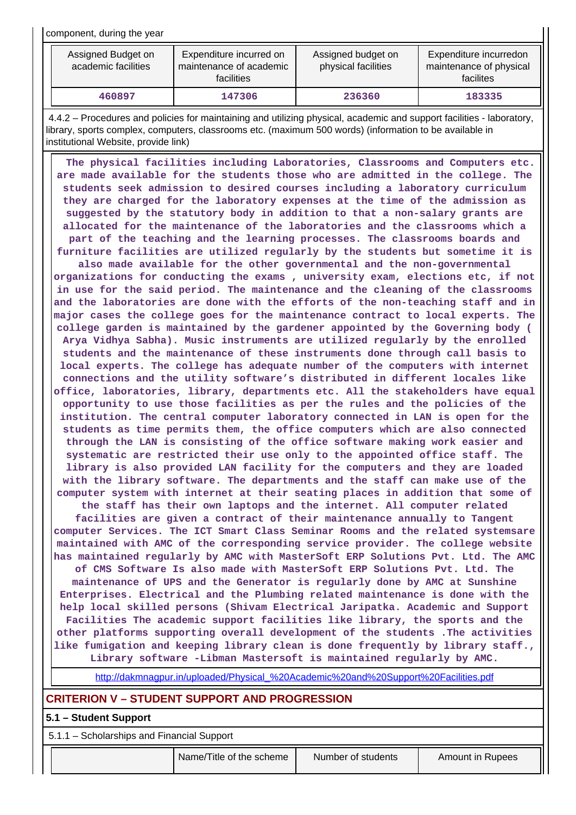component, during the year

| Assigned Budget on<br>academic facilities | Expenditure incurred on<br>maintenance of academic<br><b>facilities</b> | Assigned budget on<br>physical facilities | Expenditure incurredon<br>maintenance of physical<br>facilites |
|-------------------------------------------|-------------------------------------------------------------------------|-------------------------------------------|----------------------------------------------------------------|
| 460897                                    | 147306                                                                  | 236360                                    | 183335                                                         |

 4.4.2 – Procedures and policies for maintaining and utilizing physical, academic and support facilities - laboratory, library, sports complex, computers, classrooms etc. (maximum 500 words) (information to be available in institutional Website, provide link)

 **The physical facilities including Laboratories, Classrooms and Computers etc. are made available for the students those who are admitted in the college. The students seek admission to desired courses including a laboratory curriculum they are charged for the laboratory expenses at the time of the admission as suggested by the statutory body in addition to that a non-salary grants are allocated for the maintenance of the laboratories and the classrooms which a part of the teaching and the learning processes. The classrooms boards and furniture facilities are utilized regularly by the students but sometime it is**

**also made available for the other governmental and the non-governmental organizations for conducting the exams , university exam, elections etc, if not in use for the said period. The maintenance and the cleaning of the classrooms and the laboratories are done with the efforts of the non-teaching staff and in major cases the college goes for the maintenance contract to local experts. The college garden is maintained by the gardener appointed by the Governing body ( Arya Vidhya Sabha). Music instruments are utilized regularly by the enrolled students and the maintenance of these instruments done through call basis to local experts. The college has adequate number of the computers with internet connections and the utility software's distributed in different locales like office, laboratories, library, departments etc. All the stakeholders have equal opportunity to use those facilities as per the rules and the policies of the institution. The central computer laboratory connected in LAN is open for the students as time permits them, the office computers which are also connected through the LAN is consisting of the office software making work easier and systematic are restricted their use only to the appointed office staff. The library is also provided LAN facility for the computers and they are loaded with the library software. The departments and the staff can make use of the computer system with internet at their seating places in addition that some of**

**the staff has their own laptops and the internet. All computer related facilities are given a contract of their maintenance annually to Tangent computer Services. The ICT Smart Class Seminar Rooms and the related systemsare maintained with AMC of the corresponding service provider. The college website has maintained regularly by AMC with MasterSoft ERP Solutions Pvt. Ltd. The AMC**

**of CMS Software Is also made with MasterSoft ERP Solutions Pvt. Ltd. The maintenance of UPS and the Generator is regularly done by AMC at Sunshine Enterprises. Electrical and the Plumbing related maintenance is done with the help local skilled persons (Shivam Electrical Jaripatka. Academic and Support Facilities The academic support facilities like library, the sports and the other platforms supporting overall development of the students .The activities like fumigation and keeping library clean is done frequently by library staff., Library software -Libman Mastersoft is maintained regularly by AMC.**

[http://dakmnagpur.in/uploaded/Physical\\_%20Academic%20and%20Support%20Facilities.pdf](http://dakmnagpur.in/uploaded/Physical_%20Academic%20and%20Support%20Facilities.pdf)

## **CRITERION V – STUDENT SUPPORT AND PROGRESSION**

### **5.1 – Student Support**

5.1.1 – Scholarships and Financial Support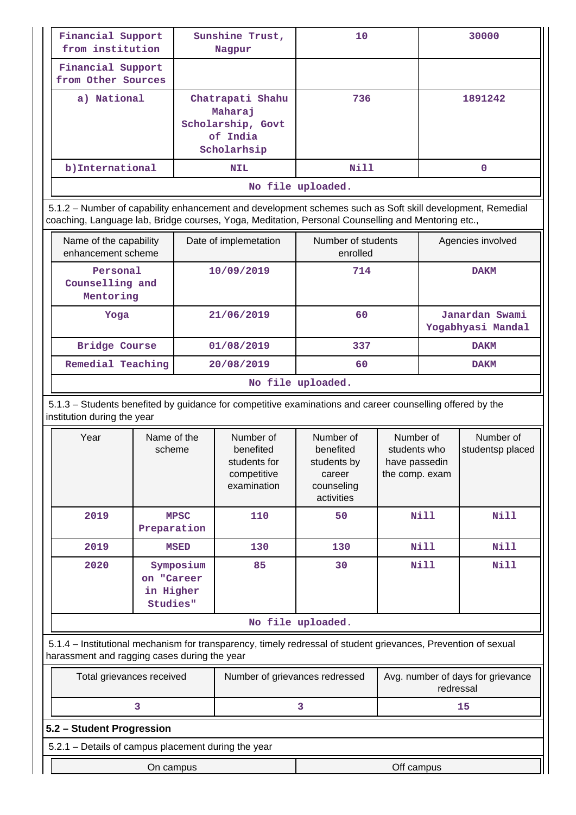| Financial Support<br>from institution   | Sunshine Trust,<br>Nagpur                                                   | 10   | 30000   |  |
|-----------------------------------------|-----------------------------------------------------------------------------|------|---------|--|
| Financial Support<br>from Other Sources |                                                                             |      |         |  |
| a) National                             | Chatrapati Shahu<br>Maharaj<br>Scholarship, Govt<br>of India<br>Scholarhsip | 736  | 1891242 |  |
| b) International                        | <b>NIL</b>                                                                  | Nill | 0       |  |
| No file uploaded.                       |                                                                             |      |         |  |

 5.1.2 – Number of capability enhancement and development schemes such as Soft skill development, Remedial coaching, Language lab, Bridge courses, Yoga, Meditation, Personal Counselling and Mentoring etc.,

| Name of the capability<br>enhancement scheme | Date of implemetation | Number of students<br>enrolled | Agencies involved                   |  |  |
|----------------------------------------------|-----------------------|--------------------------------|-------------------------------------|--|--|
| Personal<br>Counselling and<br>Mentoring     | 10/09/2019            | 714                            | <b>DAKM</b>                         |  |  |
| Yoga                                         | 21/06/2019            | 60                             | Janardan Swami<br>Yogabhyasi Mandal |  |  |
| <b>Bridge Course</b>                         | 01/08/2019            | 337                            | <b>DAKM</b>                         |  |  |
| Remedial Teaching                            | 20/08/2019            | 60                             | <b>DAKM</b>                         |  |  |
| $M_0$ file unlooded                          |                       |                                |                                     |  |  |

### **No file uploaded.**

 5.1.3 – Students benefited by guidance for competitive examinations and career counselling offered by the institution during the year

|                   | Year                                                            | Name of the<br>scheme      | Number of<br>benefited<br>students for<br>competitive<br>examination | Number of<br>benefited<br>students by<br>career<br>counseling<br>activities | Number of<br>students who<br>have passedin<br>the comp. exam | Number of<br>studentsp placed |
|-------------------|-----------------------------------------------------------------|----------------------------|----------------------------------------------------------------------|-----------------------------------------------------------------------------|--------------------------------------------------------------|-------------------------------|
|                   | 2019                                                            | <b>MPSC</b><br>Preparation | 110                                                                  | 50                                                                          | Nill                                                         | <b>Nill</b>                   |
|                   | 2019                                                            | <b>MSED</b>                | 130                                                                  | 130                                                                         | Nill                                                         | <b>Nill</b>                   |
|                   | 2020<br>Symposium<br>on "Career<br>in Higher<br><b>Studies"</b> |                            | 85                                                                   | 30                                                                          | <b>Nill</b>                                                  | <b>Nill</b>                   |
| No file uploaded. |                                                                 |                            |                                                                      |                                                                             |                                                              |                               |

 5.1.4 – Institutional mechanism for transparency, timely redressal of student grievances, Prevention of sexual harassment and ragging cases during the year

| Total grievances received | Number of grievances redressed | Avg. number of days for grievance<br>redressal |
|---------------------------|--------------------------------|------------------------------------------------|
|                           |                                |                                                |

## **5.2 – Student Progression**

5.2.1 – Details of campus placement during the year

| 5.2.1<br>Details of<br>r campus placement during the year |               |  |  |  |  |
|-----------------------------------------------------------|---------------|--|--|--|--|
| campus                                                    | Off<br>campus |  |  |  |  |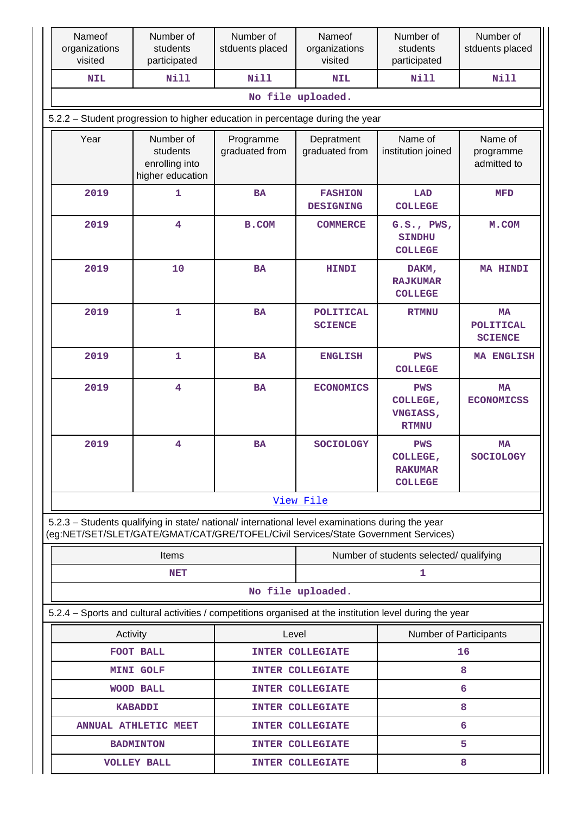| Nameof<br>organizations<br>visited                                            | Number of<br>students<br>participated                                                                                                                                                  | Number of<br>stduents placed | Nameof<br>organizations<br>visited | Number of<br>students<br>participated                             | Number of<br>stduents placed                    |  |  |  |
|-------------------------------------------------------------------------------|----------------------------------------------------------------------------------------------------------------------------------------------------------------------------------------|------------------------------|------------------------------------|-------------------------------------------------------------------|-------------------------------------------------|--|--|--|
| <b>NIL</b>                                                                    | <b>Nill</b>                                                                                                                                                                            | <b>Nill</b>                  | <b>NIL</b>                         | <b>Nill</b>                                                       | <b>Nill</b>                                     |  |  |  |
|                                                                               |                                                                                                                                                                                        |                              | No file uploaded.                  |                                                                   |                                                 |  |  |  |
| 5.2.2 - Student progression to higher education in percentage during the year |                                                                                                                                                                                        |                              |                                    |                                                                   |                                                 |  |  |  |
| Year                                                                          | Number of<br>students<br>enrolling into<br>higher education                                                                                                                            | Programme<br>graduated from  | Depratment<br>graduated from       | Name of<br>institution joined                                     | Name of<br>programme<br>admitted to             |  |  |  |
| 2019                                                                          | $\mathbf{1}$                                                                                                                                                                           | <b>BA</b>                    | <b>FASHION</b><br><b>DESIGNING</b> | LAD<br><b>COLLEGE</b>                                             | <b>MFD</b>                                      |  |  |  |
| 2019                                                                          | $\overline{\mathbf{4}}$                                                                                                                                                                | <b>B.COM</b>                 | <b>COMMERCE</b>                    | G.S., PWS,<br><b>SINDHU</b><br><b>COLLEGE</b>                     | M.COM                                           |  |  |  |
| 2019                                                                          | 10                                                                                                                                                                                     | <b>BA</b>                    | <b>HINDI</b>                       | DAKM,<br><b>RAJKUMAR</b><br><b>COLLEGE</b>                        | <b>MA HINDI</b>                                 |  |  |  |
| 2019                                                                          | $\mathbf{1}$                                                                                                                                                                           | <b>BA</b>                    | <b>POLITICAL</b><br><b>SCIENCE</b> | <b>RTMNU</b>                                                      | <b>MA</b><br><b>POLITICAL</b><br><b>SCIENCE</b> |  |  |  |
| 2019                                                                          | $\mathbf{1}$                                                                                                                                                                           | <b>BA</b>                    | <b>ENGLISH</b>                     | <b>PWS</b><br><b>COLLEGE</b>                                      | MA ENGLISH                                      |  |  |  |
| 2019                                                                          | $\overline{\mathbf{4}}$                                                                                                                                                                | <b>BA</b>                    | <b>ECONOMICS</b>                   | PWS<br>COLLEGE,<br>VNGIASS,<br><b>RTMNU</b>                       | <b>MA</b><br><b>ECONOMICSS</b>                  |  |  |  |
| 2019                                                                          | $\overline{\mathbf{4}}$                                                                                                                                                                | <b>BA</b>                    | <b>SOCIOLOGY</b>                   | <b>PWS</b><br><b>COLLEGE,</b><br><b>RAKUMAR</b><br><b>COLLEGE</b> | <b>MA</b><br><b>SOCIOLOGY</b>                   |  |  |  |
|                                                                               |                                                                                                                                                                                        |                              | View File                          |                                                                   |                                                 |  |  |  |
|                                                                               | 5.2.3 - Students qualifying in state/ national/ international level examinations during the year<br>(eg:NET/SET/SLET/GATE/GMAT/CAT/GRE/TOFEL/Civil Services/State Government Services) |                              |                                    |                                                                   |                                                 |  |  |  |
|                                                                               | <b>Items</b>                                                                                                                                                                           |                              |                                    | Number of students selected/ qualifying                           |                                                 |  |  |  |
|                                                                               | <b>NET</b>                                                                                                                                                                             |                              | 1                                  |                                                                   |                                                 |  |  |  |
|                                                                               |                                                                                                                                                                                        |                              | No file uploaded.                  |                                                                   |                                                 |  |  |  |
|                                                                               | 5.2.4 - Sports and cultural activities / competitions organised at the institution level during the year                                                                               |                              |                                    |                                                                   |                                                 |  |  |  |
| Activity                                                                      |                                                                                                                                                                                        | Level                        |                                    | Number of Participants                                            |                                                 |  |  |  |
| FOOT BALL                                                                     |                                                                                                                                                                                        |                              | <b>INTER COLLEGIATE</b>            | 16                                                                |                                                 |  |  |  |
| <b>MINI GOLF</b>                                                              |                                                                                                                                                                                        |                              | <b>INTER COLLEGIATE</b>            |                                                                   | 8                                               |  |  |  |
|                                                                               | <b>WOOD BALL</b>                                                                                                                                                                       |                              | INTER COLLEGIATE                   |                                                                   | 6                                               |  |  |  |
|                                                                               | <b>KABADDI</b>                                                                                                                                                                         |                              | <b>INTER COLLEGIATE</b>            |                                                                   | 8                                               |  |  |  |
|                                                                               | <b>ANNUAL ATHLETIC MEET</b>                                                                                                                                                            |                              | <b>INTER COLLEGIATE</b>            |                                                                   | 6<br>5.                                         |  |  |  |
|                                                                               | <b>BADMINTON</b>                                                                                                                                                                       |                              | <b>INTER COLLEGIATE</b>            |                                                                   | 8                                               |  |  |  |
| <b>VOLLEY BALL</b>                                                            |                                                                                                                                                                                        | INTER COLLEGIATE             |                                    |                                                                   |                                                 |  |  |  |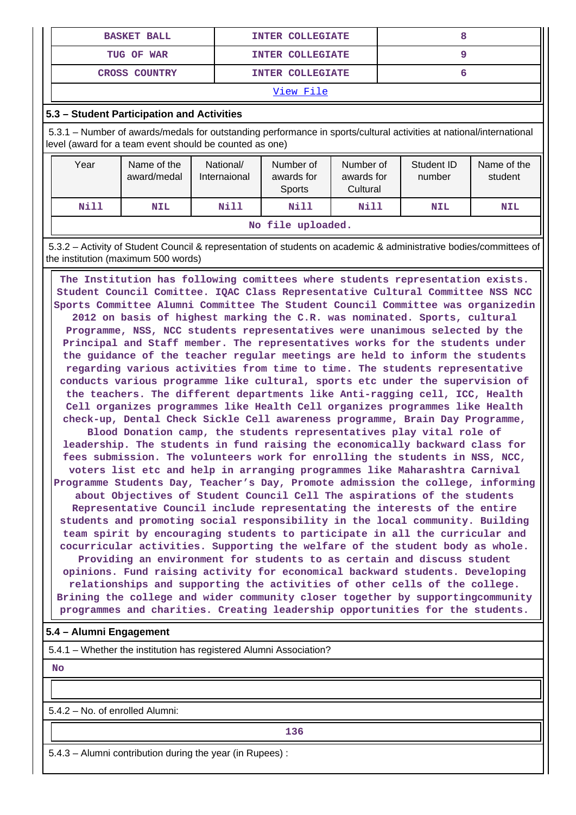| <b>BASKET BALL</b>   | <b>INTER COLLEGIATE</b> |  |  |  |
|----------------------|-------------------------|--|--|--|
| TUG OF WAR           | <b>INTER COLLEGIATE</b> |  |  |  |
| <b>CROSS COUNTRY</b> | <b>INTER COLLEGIATE</b> |  |  |  |
| -- -                 |                         |  |  |  |

### **5.3 – Student Participation and Activities**

 5.3.1 – Number of awards/medals for outstanding performance in sports/cultural activities at national/international level (award for a team event should be counted as one)

| Year              | Name of the<br>award/medal | National/<br>Internaional | Number of<br>awards for<br>Sports | Number of<br>awards for<br>Cultural | Student ID<br>number | Name of the<br>student |
|-------------------|----------------------------|---------------------------|-----------------------------------|-------------------------------------|----------------------|------------------------|
| Nill              | <b>NIL</b>                 | Nill                      | Nill                              | Nill                                | <b>NIL</b>           | <b>NIL</b>             |
| No file uploaded. |                            |                           |                                   |                                     |                      |                        |

 5.3.2 – Activity of Student Council & representation of students on academic & administrative bodies/committees of the institution (maximum 500 words)

 **The Institution has following comittees where students representation exists. Student Council Comittee. IQAC Class Representative Cultural Committee NSS NCC Sports Committee Alumni Committee The Student Council Committee was organizedin 2012 on basis of highest marking the C.R. was nominated. Sports, cultural Programme, NSS, NCC students representatives were unanimous selected by the Principal and Staff member. The representatives works for the students under the guidance of the teacher regular meetings are held to inform the students regarding various activities from time to time. The students representative conducts various programme like cultural, sports etc under the supervision of the teachers. The different departments like Anti-ragging cell, ICC, Health Cell organizes programmes like Health Cell organizes programmes like Health check-up, Dental Check Sickle Cell awareness programme, Brain Day Programme, Blood Donation camp, the students representatives play vital role of leadership. The students in fund raising the economically backward class for fees submission. The volunteers work for enrolling the students in NSS, NCC, voters list etc and help in arranging programmes like Maharashtra Carnival Programme Students Day, Teacher's Day, Promote admission the college, informing about Objectives of Student Council Cell The aspirations of the students Representative Council include representating the interests of the entire students and promoting social responsibility in the local community. Building team spirit by encouraging students to participate in all the curricular and cocurricular activities. Supporting the welfare of the student body as whole.**

**Providing an environment for students to as certain and discuss student opinions. Fund raising activity for economical backward students. Developing relationships and supporting the activities of other cells of the college. Brining the college and wider community closer together by supportingcommunity programmes and charities. Creating leadership opportunities for the students.**

### **5.4 – Alumni Engagement**

5.4.1 – Whether the institution has registered Alumni Association?

 **No**

5.4.2 – No. of enrolled Alumni:

**136** 

5.4.3 – Alumni contribution during the year (in Rupees) :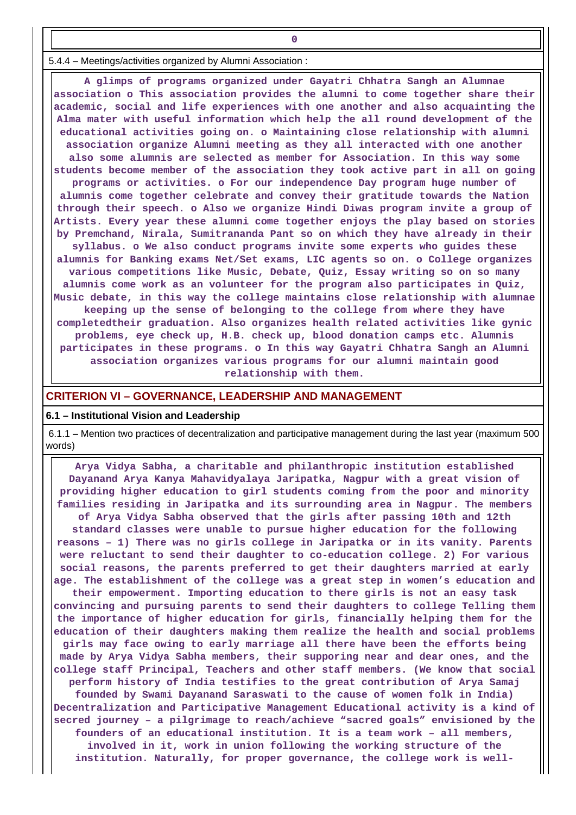5.4.4 – Meetings/activities organized by Alumni Association :

**0**

 **A glimps of programs organized under Gayatri Chhatra Sangh an Alumnae association o This association provides the alumni to come together share their academic, social and life experiences with one another and also acquainting the Alma mater with useful information which help the all round development of the educational activities going on. o Maintaining close relationship with alumni association organize Alumni meeting as they all interacted with one another also some alumnis are selected as member for Association. In this way some students become member of the association they took active part in all on going programs or activities. o For our independence Day program huge number of alumnis come together celebrate and convey their gratitude towards the Nation through their speech. o Also we organize Hindi Diwas program invite a group of Artists. Every year these alumni come together enjoys the play based on stories by Premchand, Nirala, Sumitrananda Pant so on which they have already in their syllabus. o We also conduct programs invite some experts who guides these alumnis for Banking exams Net/Set exams, LIC agents so on. o College organizes various competitions like Music, Debate, Quiz, Essay writing so on so many alumnis come work as an volunteer for the program also participates in Quiz, Music debate, in this way the college maintains close relationship with alumnae keeping up the sense of belonging to the college from where they have completedtheir graduation. Also organizes health related activities like gynic problems, eye check up, H.B. check up, blood donation camps etc. Alumnis participates in these programs. o In this way Gayatri Chhatra Sangh an Alumni association organizes various programs for our alumni maintain good relationship with them.**

#### **CRITERION VI – GOVERNANCE, LEADERSHIP AND MANAGEMENT**

#### **6.1 – Institutional Vision and Leadership**

 6.1.1 – Mention two practices of decentralization and participative management during the last year (maximum 500 words)

 **Arya Vidya Sabha, a charitable and philanthropic institution established Dayanand Arya Kanya Mahavidyalaya Jaripatka, Nagpur with a great vision of providing higher education to girl students coming from the poor and minority families residing in Jaripatka and its surrounding area in Nagpur. The members of Arya Vidya Sabha observed that the girls after passing 10th and 12th standard classes were unable to pursue higher education for the following reasons – 1) There was no girls college in Jaripatka or in its vanity. Parents were reluctant to send their daughter to co-education college. 2) For various social reasons, the parents preferred to get their daughters married at early age. The establishment of the college was a great step in women's education and their empowerment. Importing education to there girls is not an easy task convincing and pursuing parents to send their daughters to college Telling them the importance of higher education for girls, financially helping them for the education of their daughters making them realize the health and social problems girls may face owing to early marriage all there have been the efforts being made by Arya Vidya Sabha members, their supporing near and dear ones, and the college staff Principal, Teachers and other staff members. (We know that social perform history of India testifies to the great contribution of Arya Samaj founded by Swami Dayanand Saraswati to the cause of women folk in India) Decentralization and Participative Management Educational activity is a kind of secred journey – a pilgrimage to reach/achieve "sacred goals" envisioned by the founders of an educational institution. It is a team work – all members, involved in it, work in union following the working structure of the institution. Naturally, for proper governance, the college work is well-**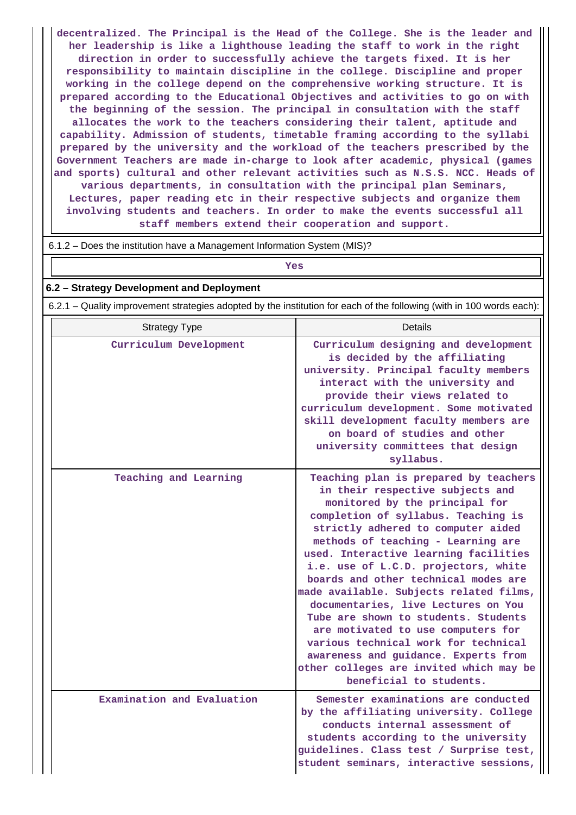**decentralized. The Principal is the Head of the College. She is the leader and her leadership is like a lighthouse leading the staff to work in the right direction in order to successfully achieve the targets fixed. It is her responsibility to maintain discipline in the college. Discipline and proper working in the college depend on the comprehensive working structure. It is prepared according to the Educational Objectives and activities to go on with the beginning of the session. The principal in consultation with the staff allocates the work to the teachers considering their talent, aptitude and capability. Admission of students, timetable framing according to the syllabi prepared by the university and the workload of the teachers prescribed by the Government Teachers are made in-charge to look after academic, physical (games and sports) cultural and other relevant activities such as N.S.S. NCC. Heads of various departments, in consultation with the principal plan Seminars, Lectures, paper reading etc in their respective subjects and organize them involving students and teachers. In order to make the events successful all staff members extend their cooperation and support.**

#### 6.1.2 – Does the institution have a Management Information System (MIS)?

## *Yes*

#### **6.2 – Strategy Development and Deployment**

6.2.1 – Quality improvement strategies adopted by the institution for each of the following (with in 100 words each):

| <b>Strategy Type</b>       | Details                                                                                                                                                                                                                                                                                                                                                                                                                                                                                                                                                                                                                                                                       |
|----------------------------|-------------------------------------------------------------------------------------------------------------------------------------------------------------------------------------------------------------------------------------------------------------------------------------------------------------------------------------------------------------------------------------------------------------------------------------------------------------------------------------------------------------------------------------------------------------------------------------------------------------------------------------------------------------------------------|
| Curriculum Development     | Curriculum designing and development<br>is decided by the affiliating<br>university. Principal faculty members<br>interact with the university and<br>provide their views related to<br>curriculum development. Some motivated<br>skill development faculty members are<br>on board of studies and other<br>university committees that design<br>syllabus.                                                                                                                                                                                                                                                                                                                    |
| Teaching and Learning      | Teaching plan is prepared by teachers<br>in their respective subjects and<br>monitored by the principal for<br>completion of syllabus. Teaching is<br>strictly adhered to computer aided<br>methods of teaching - Learning are<br>used. Interactive learning facilities<br>i.e. use of L.C.D. projectors, white<br>boards and other technical modes are<br>made available. Subjects related films,<br>documentaries, live Lectures on You<br>Tube are shown to students. Students<br>are motivated to use computers for<br>various technical work for technical<br>awareness and guidance. Experts from<br>other colleges are invited which may be<br>beneficial to students. |
| Examination and Evaluation | Semester examinations are conducted<br>by the affiliating university. College<br>conducts internal assessment of<br>students according to the university<br>guidelines. Class test / Surprise test,<br>student seminars, interactive sessions,                                                                                                                                                                                                                                                                                                                                                                                                                                |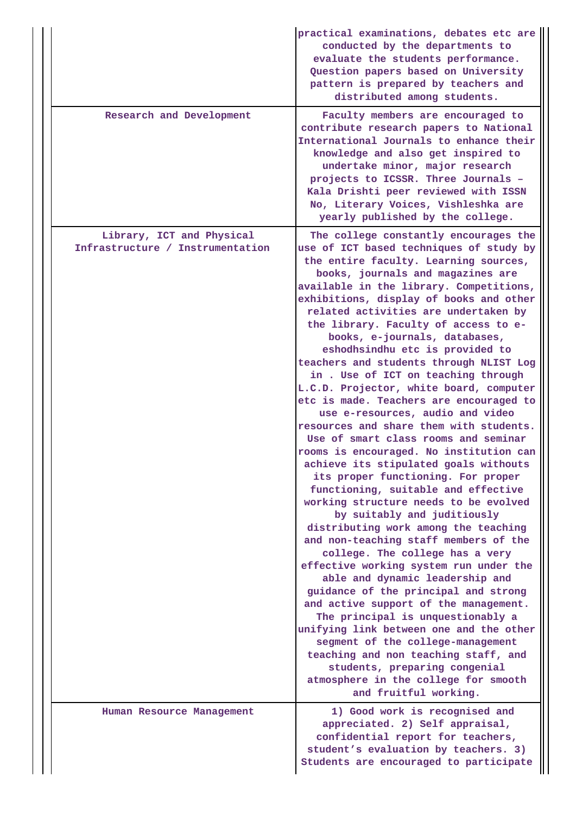|                                                               | practical examinations, debates etc are<br>conducted by the departments to<br>evaluate the students performance.<br>Question papers based on University<br>pattern is prepared by teachers and<br>distributed among students.                                                                                                                                                                                                                                                                                                                                                                                                                                                                                                                                                                                                                                                                                                                                                                                                                                                                                                                                                                                                                                                                                                                                                                                                                                                                     |
|---------------------------------------------------------------|---------------------------------------------------------------------------------------------------------------------------------------------------------------------------------------------------------------------------------------------------------------------------------------------------------------------------------------------------------------------------------------------------------------------------------------------------------------------------------------------------------------------------------------------------------------------------------------------------------------------------------------------------------------------------------------------------------------------------------------------------------------------------------------------------------------------------------------------------------------------------------------------------------------------------------------------------------------------------------------------------------------------------------------------------------------------------------------------------------------------------------------------------------------------------------------------------------------------------------------------------------------------------------------------------------------------------------------------------------------------------------------------------------------------------------------------------------------------------------------------------|
| Research and Development                                      | Faculty members are encouraged to<br>contribute research papers to National<br>International Journals to enhance their<br>knowledge and also get inspired to<br>undertake minor, major research<br>projects to ICSSR. Three Journals -<br>Kala Drishti peer reviewed with ISSN<br>No, Literary Voices, Vishleshka are<br>yearly published by the college.                                                                                                                                                                                                                                                                                                                                                                                                                                                                                                                                                                                                                                                                                                                                                                                                                                                                                                                                                                                                                                                                                                                                         |
| Library, ICT and Physical<br>Infrastructure / Instrumentation | The college constantly encourages the<br>use of ICT based techniques of study by<br>the entire faculty. Learning sources,<br>books, journals and magazines are<br>available in the library. Competitions,<br>exhibitions, display of books and other<br>related activities are undertaken by<br>the library. Faculty of access to e-<br>books, e-journals, databases,<br>eshodhsindhu etc is provided to<br>teachers and students through NLIST Log<br>in . Use of ICT on teaching through<br>L.C.D. Projector, white board, computer<br>etc is made. Teachers are encouraged to<br>use e-resources, audio and video<br>resources and share them with students.<br>Use of smart class rooms and seminar<br>rooms is encouraged. No institution can<br>achieve its stipulated goals withouts<br>its proper functioning. For proper<br>functioning, suitable and effective<br>working structure needs to be evolved<br>by suitably and juditiously<br>distributing work among the teaching<br>and non-teaching staff members of the<br>college. The college has a very<br>effective working system run under the<br>able and dynamic leadership and<br>guidance of the principal and strong<br>and active support of the management.<br>The principal is unquestionably a<br>unifying link between one and the other<br>segment of the college-management<br>teaching and non teaching staff, and<br>students, preparing congenial<br>atmosphere in the college for smooth<br>and fruitful working. |
| Human Resource Management                                     | 1) Good work is recognised and<br>appreciated. 2) Self appraisal,<br>confidential report for teachers,<br>student's evaluation by teachers. 3)<br>Students are encouraged to participate                                                                                                                                                                                                                                                                                                                                                                                                                                                                                                                                                                                                                                                                                                                                                                                                                                                                                                                                                                                                                                                                                                                                                                                                                                                                                                          |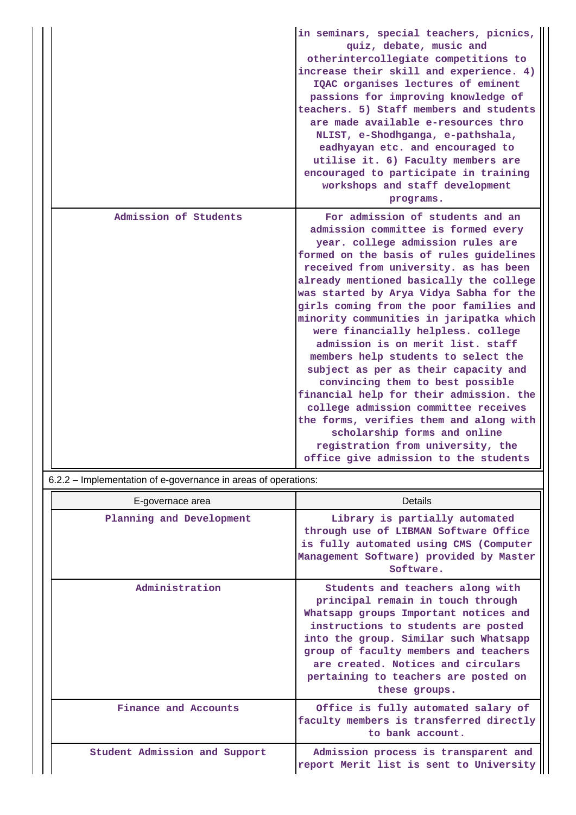|                       | in seminars, special teachers, picnics,<br>quiz, debate, music and<br>otherintercollegiate competitions to<br>increase their skill and experience. 4)<br>IQAC organises lectures of eminent<br>passions for improving knowledge of<br>teachers. 5) Staff members and students<br>are made available e-resources thro<br>NLIST, e-Shodhganga, e-pathshala,<br>eadhyayan etc. and encouraged to<br>utilise it. 6) Faculty members are<br>encouraged to participate in training<br>workshops and staff development<br>programs.                                                                                                                                                                                                                                                                                           |
|-----------------------|------------------------------------------------------------------------------------------------------------------------------------------------------------------------------------------------------------------------------------------------------------------------------------------------------------------------------------------------------------------------------------------------------------------------------------------------------------------------------------------------------------------------------------------------------------------------------------------------------------------------------------------------------------------------------------------------------------------------------------------------------------------------------------------------------------------------|
| Admission of Students | For admission of students and an<br>admission committee is formed every<br>year. college admission rules are<br>formed on the basis of rules guidelines<br>received from university. as has been<br>already mentioned basically the college<br>was started by Arya Vidya Sabha for the<br>girls coming from the poor families and<br>minority communities in jaripatka which<br>were financially helpless. college<br>admission is on merit list, staff<br>members help students to select the<br>subject as per as their capacity and<br>convincing them to best possible<br>financial help for their admission. the<br>college admission committee receives<br>the forms, verifies them and along with<br>scholarship forms and online<br>registration from university, the<br>office give admission to the students |

6.2.2 – Implementation of e-governance in areas of operations:

| E-governace area              | Details                                                                                                                                                                                                                                                                                                                                |  |  |  |  |  |
|-------------------------------|----------------------------------------------------------------------------------------------------------------------------------------------------------------------------------------------------------------------------------------------------------------------------------------------------------------------------------------|--|--|--|--|--|
| Planning and Development      | Library is partially automated<br>through use of LIBMAN Software Office<br>is fully automated using CMS (Computer<br>Management Software) provided by Master<br>Software.                                                                                                                                                              |  |  |  |  |  |
| Administration                | Students and teachers along with<br>principal remain in touch through<br>Whatsapp groups Important notices and<br>instructions to students are posted<br>into the group. Similar such Whatsapp<br>group of faculty members and teachers<br>are created. Notices and circulars<br>pertaining to teachers are posted on<br>these groups. |  |  |  |  |  |
| Finance and Accounts          | Office is fully automated salary of<br>faculty members is transferred directly<br>to bank account.                                                                                                                                                                                                                                     |  |  |  |  |  |
| Student Admission and Support | Admission process is transparent and<br>report Merit list is sent to University                                                                                                                                                                                                                                                        |  |  |  |  |  |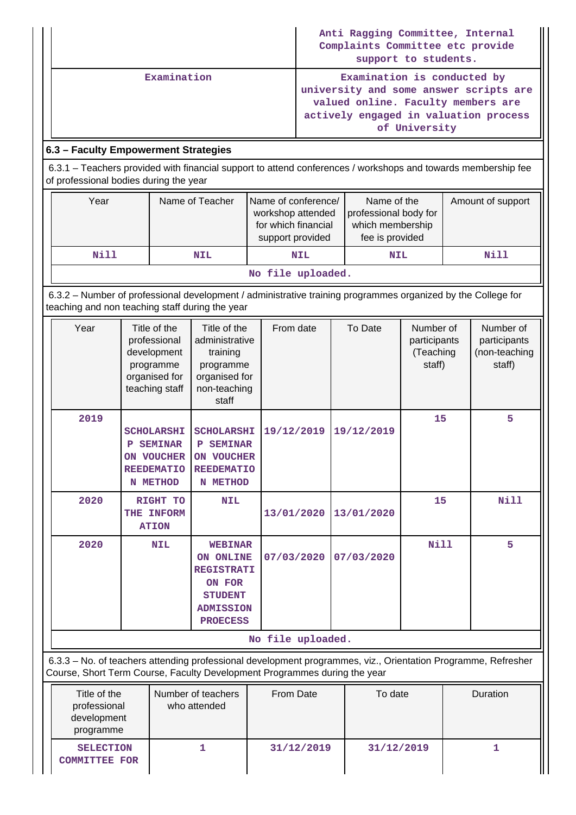|                                                                                                                                                                 |                                                                                                                                                         |  |                                                         |            | Anti Ragging Committee, Internal<br>Complaints Committee etc provide<br>support to students. |            |                                                                                                                                                                       |  |                                                      |                   |  |
|-----------------------------------------------------------------------------------------------------------------------------------------------------------------|---------------------------------------------------------------------------------------------------------------------------------------------------------|--|---------------------------------------------------------|------------|----------------------------------------------------------------------------------------------|------------|-----------------------------------------------------------------------------------------------------------------------------------------------------------------------|--|------------------------------------------------------|-------------------|--|
|                                                                                                                                                                 | Examination                                                                                                                                             |  |                                                         |            |                                                                                              |            | Examination is conducted by<br>university and some answer scripts are<br>valued online. Faculty members are<br>actively engaged in valuation process<br>of University |  |                                                      |                   |  |
| 6.3 - Faculty Empowerment Strategies                                                                                                                            |                                                                                                                                                         |  |                                                         |            |                                                                                              |            |                                                                                                                                                                       |  |                                                      |                   |  |
|                                                                                                                                                                 | 6.3.1 - Teachers provided with financial support to attend conferences / workshops and towards membership fee<br>of professional bodies during the year |  |                                                         |            |                                                                                              |            |                                                                                                                                                                       |  |                                                      |                   |  |
|                                                                                                                                                                 | Year<br>Name of Teacher                                                                                                                                 |  |                                                         |            | Name of conference/<br>workshop attended<br>for which financial<br>support provided          |            | Name of the<br>professional body for<br>which membership<br>fee is provided                                                                                           |  |                                                      | Amount of support |  |
|                                                                                                                                                                 | <b>Nill</b>                                                                                                                                             |  |                                                         | <b>NIL</b> |                                                                                              | <b>NIL</b> | <b>NIL</b>                                                                                                                                                            |  |                                                      | <b>Nill</b>       |  |
|                                                                                                                                                                 | No file uploaded.                                                                                                                                       |  |                                                         |            |                                                                                              |            |                                                                                                                                                                       |  |                                                      |                   |  |
| 6.3.2 - Number of professional development / administrative training programmes organized by the College for<br>teaching and non teaching staff during the year |                                                                                                                                                         |  |                                                         |            |                                                                                              |            |                                                                                                                                                                       |  |                                                      |                   |  |
|                                                                                                                                                                 | Year<br>Title of the<br>professional<br>development<br>programme                                                                                        |  | Title of the<br>administrative<br>training<br>programme | From date  |                                                                                              | To Date    | Number of<br>participants<br>(Teaching<br>staff)                                                                                                                      |  | Number of<br>participants<br>(non-teaching<br>staff) |                   |  |

|                                                                                                               | aevelopment<br>programme<br>organised for<br>teaching staff | training<br>programme<br>organised for<br>non-teaching<br>staff |            |            | (Teaching<br>staff) | (non-teaching<br>staff) |  |  |  |  |  |
|---------------------------------------------------------------------------------------------------------------|-------------------------------------------------------------|-----------------------------------------------------------------|------------|------------|---------------------|-------------------------|--|--|--|--|--|
| 2019                                                                                                          |                                                             |                                                                 |            |            | 15                  | 5                       |  |  |  |  |  |
|                                                                                                               | <b>SCHOLARSHI</b>                                           | <b>SCHOLARSHI</b>                                               | 19/12/2019 | 19/12/2019 |                     |                         |  |  |  |  |  |
|                                                                                                               | <b>SEMINAR</b><br>P                                         | <b>SEMINAR</b><br>P                                             |            |            |                     |                         |  |  |  |  |  |
|                                                                                                               | <b>ON VOUCHER</b><br><b>REEDEMATIO</b>                      | <b>ON VOUCHER</b><br><b>REEDEMATIO</b>                          |            |            |                     |                         |  |  |  |  |  |
|                                                                                                               | N METHOD                                                    | N METHOD                                                        |            |            |                     |                         |  |  |  |  |  |
| 2020                                                                                                          | RIGHT TO                                                    | <b>NIL</b>                                                      |            |            | 15                  | <b>Nill</b>             |  |  |  |  |  |
|                                                                                                               | THE INFORM                                                  |                                                                 | 13/01/2020 | 13/01/2020 |                     |                         |  |  |  |  |  |
|                                                                                                               | <b>ATION</b>                                                |                                                                 |            |            |                     |                         |  |  |  |  |  |
| 2020                                                                                                          | <b>NIL</b>                                                  | <b>WEBINAR</b>                                                  |            |            | Nill                | 5                       |  |  |  |  |  |
|                                                                                                               |                                                             | ON ONLINE                                                       | 07/03/2020 | 07/03/2020 |                     |                         |  |  |  |  |  |
|                                                                                                               |                                                             | <b>REGISTRATI</b>                                               |            |            |                     |                         |  |  |  |  |  |
|                                                                                                               |                                                             | ON FOR                                                          |            |            |                     |                         |  |  |  |  |  |
|                                                                                                               |                                                             | <b>STUDENT</b>                                                  |            |            |                     |                         |  |  |  |  |  |
|                                                                                                               |                                                             | <b>ADMISSION</b>                                                |            |            |                     |                         |  |  |  |  |  |
|                                                                                                               |                                                             | <b>PROECESS</b>                                                 |            |            |                     |                         |  |  |  |  |  |
| No file uploaded.                                                                                             |                                                             |                                                                 |            |            |                     |                         |  |  |  |  |  |
| 6.3.3 - No. of teachers attending professional development programmes, viz., Orientation Programme, Refresher |                                                             |                                                                 |            |            |                     |                         |  |  |  |  |  |
| Course, Short Term Course, Faculty Development Programmes during the year                                     |                                                             |                                                                 |            |            |                     |                         |  |  |  |  |  |

| Title of the<br>professional<br>development<br>programme | Number of teachers<br>who attended |            | To date    | Duration |
|----------------------------------------------------------|------------------------------------|------------|------------|----------|
| <b>SELECTION</b><br><b>COMMITTEE FOR</b>                 |                                    | 31/12/2019 | 31/12/2019 |          |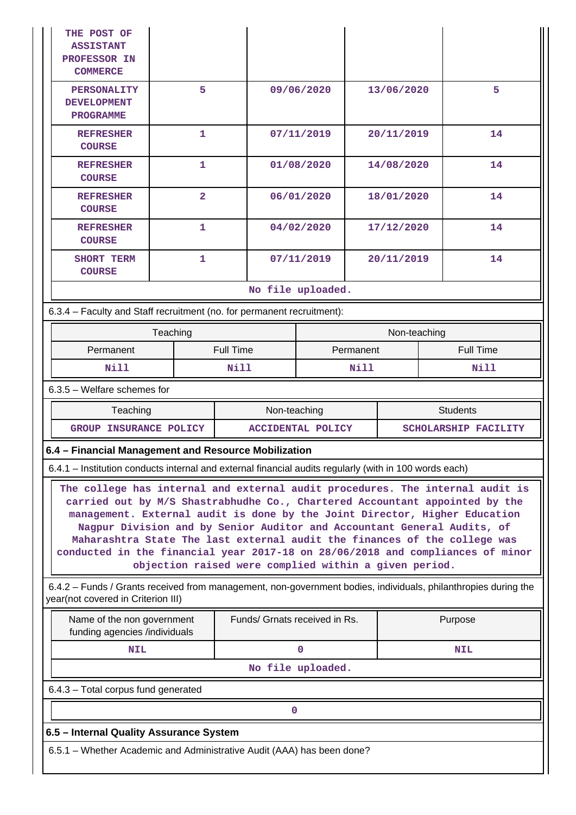| <b>THE POST OF</b><br><b>ASSISTANT</b><br><b>PROFESSOR IN</b><br><b>COMMERCE</b>                                                                                                                                                                                                                                                                                                                                                                                                                                                              |          |                         |                  |                               |            |           |              |      |                                                                                                                |  |
|-----------------------------------------------------------------------------------------------------------------------------------------------------------------------------------------------------------------------------------------------------------------------------------------------------------------------------------------------------------------------------------------------------------------------------------------------------------------------------------------------------------------------------------------------|----------|-------------------------|------------------|-------------------------------|------------|-----------|--------------|------|----------------------------------------------------------------------------------------------------------------|--|
| 5<br><b>PERSONALITY</b><br><b>DEVELOPMENT</b><br><b>PROGRAMME</b>                                                                                                                                                                                                                                                                                                                                                                                                                                                                             |          |                         |                  |                               | 09/06/2020 |           | 13/06/2020   |      | 5                                                                                                              |  |
| <b>REFRESHER</b><br><b>COURSE</b>                                                                                                                                                                                                                                                                                                                                                                                                                                                                                                             |          | 1                       |                  |                               | 07/11/2019 |           | 20/11/2019   |      | 14                                                                                                             |  |
| <b>REFRESHER</b><br><b>COURSE</b>                                                                                                                                                                                                                                                                                                                                                                                                                                                                                                             |          | 1                       |                  |                               | 01/08/2020 |           | 14/08/2020   |      | 14                                                                                                             |  |
| <b>REFRESHER</b><br><b>COURSE</b>                                                                                                                                                                                                                                                                                                                                                                                                                                                                                                             |          | $\overline{\mathbf{2}}$ |                  |                               | 06/01/2020 |           | 18/01/2020   |      | 14                                                                                                             |  |
| <b>REFRESHER</b><br><b>COURSE</b>                                                                                                                                                                                                                                                                                                                                                                                                                                                                                                             |          | $\mathbf{1}$            |                  |                               | 04/02/2020 |           | 17/12/2020   |      | 14                                                                                                             |  |
| <b>SHORT TERM</b><br><b>COURSE</b>                                                                                                                                                                                                                                                                                                                                                                                                                                                                                                            |          | 1                       |                  |                               | 07/11/2019 |           | 20/11/2019   |      | 14                                                                                                             |  |
|                                                                                                                                                                                                                                                                                                                                                                                                                                                                                                                                               |          |                         |                  | No file uploaded.             |            |           |              |      |                                                                                                                |  |
| 6.3.4 - Faculty and Staff recruitment (no. for permanent recruitment):                                                                                                                                                                                                                                                                                                                                                                                                                                                                        |          |                         |                  |                               |            |           |              |      |                                                                                                                |  |
|                                                                                                                                                                                                                                                                                                                                                                                                                                                                                                                                               | Teaching |                         |                  |                               |            |           | Non-teaching |      |                                                                                                                |  |
| Permanent                                                                                                                                                                                                                                                                                                                                                                                                                                                                                                                                     |          |                         | <b>Full Time</b> |                               |            | Permanent |              |      | <b>Full Time</b>                                                                                               |  |
| Nill                                                                                                                                                                                                                                                                                                                                                                                                                                                                                                                                          |          |                         | Nill<br>Nill     |                               |            |           |              | Nill |                                                                                                                |  |
| $6.3.5$ – Welfare schemes for                                                                                                                                                                                                                                                                                                                                                                                                                                                                                                                 |          |                         |                  |                               |            |           |              |      |                                                                                                                |  |
| Teaching                                                                                                                                                                                                                                                                                                                                                                                                                                                                                                                                      |          |                         |                  | Non-teaching                  |            |           |              |      | <b>Students</b>                                                                                                |  |
| GROUP INSURANCE POLICY                                                                                                                                                                                                                                                                                                                                                                                                                                                                                                                        |          |                         |                  | <b>ACCIDENTAL POLICY</b>      |            |           |              |      | SCHOLARSHIP FACILITY                                                                                           |  |
| 6.4 - Financial Management and Resource Mobilization                                                                                                                                                                                                                                                                                                                                                                                                                                                                                          |          |                         |                  |                               |            |           |              |      |                                                                                                                |  |
| 6.4.1 - Institution conducts internal and external financial audits regularly (with in 100 words each)                                                                                                                                                                                                                                                                                                                                                                                                                                        |          |                         |                  |                               |            |           |              |      |                                                                                                                |  |
| The college has internal and external audit procedures. The internal audit is<br>carried out by M/S Shastrabhudhe Co., Chartered Accountant appointed by the<br>management. External audit is done by the Joint Director, Higher Education<br>Nagpur Division and by Senior Auditor and Accountant General Audits, of<br>Maharashtra State The last external audit the finances of the college was<br>conducted in the financial year 2017-18 on 28/06/2018 and compliances of minor<br>objection raised were complied within a given period. |          |                         |                  |                               |            |           |              |      |                                                                                                                |  |
| year(not covered in Criterion III)                                                                                                                                                                                                                                                                                                                                                                                                                                                                                                            |          |                         |                  |                               |            |           |              |      | 6.4.2 - Funds / Grants received from management, non-government bodies, individuals, philanthropies during the |  |
| Name of the non government<br>funding agencies /individuals                                                                                                                                                                                                                                                                                                                                                                                                                                                                                   |          |                         |                  | Funds/ Grnats received in Rs. |            |           |              |      | Purpose                                                                                                        |  |
| NIL                                                                                                                                                                                                                                                                                                                                                                                                                                                                                                                                           |          |                         | $\mathbf 0$      |                               |            |           | <b>NIL</b>   |      |                                                                                                                |  |
| No file uploaded.                                                                                                                                                                                                                                                                                                                                                                                                                                                                                                                             |          |                         |                  |                               |            |           |              |      |                                                                                                                |  |
| 6.4.3 - Total corpus fund generated                                                                                                                                                                                                                                                                                                                                                                                                                                                                                                           |          |                         |                  |                               |            |           |              |      |                                                                                                                |  |
| $\mathbf 0$                                                                                                                                                                                                                                                                                                                                                                                                                                                                                                                                   |          |                         |                  |                               |            |           |              |      |                                                                                                                |  |
| 6.5 - Internal Quality Assurance System                                                                                                                                                                                                                                                                                                                                                                                                                                                                                                       |          |                         |                  |                               |            |           |              |      |                                                                                                                |  |
| 6.5.1 - Whether Academic and Administrative Audit (AAA) has been done?                                                                                                                                                                                                                                                                                                                                                                                                                                                                        |          |                         |                  |                               |            |           |              |      |                                                                                                                |  |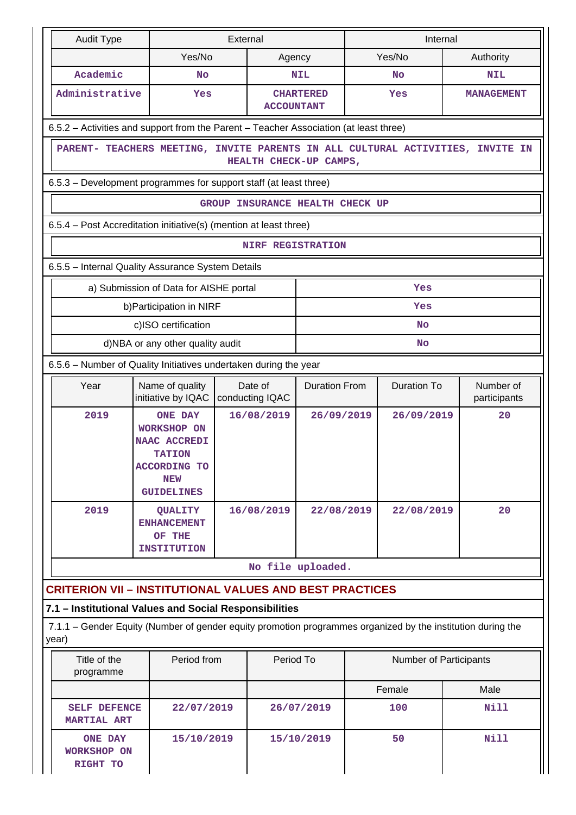| <b>Audit Type</b>                                                                                                    |                                                                                                                                                      |                                                                      | External |                                 |                        | Internal           |            |             |                           |  |  |
|----------------------------------------------------------------------------------------------------------------------|------------------------------------------------------------------------------------------------------------------------------------------------------|----------------------------------------------------------------------|----------|---------------------------------|------------------------|--------------------|------------|-------------|---------------------------|--|--|
|                                                                                                                      |                                                                                                                                                      | Yes/No                                                               | Agency   |                                 | Yes/No                 |                    |            | Authority   |                           |  |  |
| Academic                                                                                                             |                                                                                                                                                      | No                                                                   |          |                                 | <b>NIL</b>             |                    | <b>No</b>  |             | <b>NIL</b>                |  |  |
| Administrative                                                                                                       |                                                                                                                                                      | Yes                                                                  |          | <b>ACCOUNTANT</b>               | <b>CHARTERED</b>       | Yes                |            |             | <b>MANAGEMENT</b>         |  |  |
|                                                                                                                      | 6.5.2 - Activities and support from the Parent - Teacher Association (at least three)                                                                |                                                                      |          |                                 |                        |                    |            |             |                           |  |  |
|                                                                                                                      | PARENT- TEACHERS MEETING, INVITE PARENTS IN ALL CULTURAL ACTIVITIES, INVITE IN<br>HEALTH CHECK-UP CAMPS,                                             |                                                                      |          |                                 |                        |                    |            |             |                           |  |  |
|                                                                                                                      | 6.5.3 – Development programmes for support staff (at least three)                                                                                    |                                                                      |          |                                 |                        |                    |            |             |                           |  |  |
|                                                                                                                      |                                                                                                                                                      |                                                                      |          | GROUP INSURANCE HEALTH CHECK UP |                        |                    |            |             |                           |  |  |
| 6.5.4 - Post Accreditation initiative(s) (mention at least three)                                                    |                                                                                                                                                      |                                                                      |          |                                 |                        |                    |            |             |                           |  |  |
|                                                                                                                      |                                                                                                                                                      |                                                                      |          | <b>NIRF REGISTRATION</b>        |                        |                    |            |             |                           |  |  |
| 6.5.5 - Internal Quality Assurance System Details                                                                    |                                                                                                                                                      |                                                                      |          |                                 |                        |                    |            |             |                           |  |  |
|                                                                                                                      |                                                                                                                                                      | a) Submission of Data for AISHE portal                               |          |                                 |                        |                    | Yes        |             |                           |  |  |
|                                                                                                                      |                                                                                                                                                      | b) Participation in NIRF                                             |          |                                 |                        |                    | Yes        |             |                           |  |  |
|                                                                                                                      |                                                                                                                                                      | c)ISO certification                                                  |          |                                 |                        |                    | <b>No</b>  |             |                           |  |  |
|                                                                                                                      |                                                                                                                                                      | d)NBA or any other quality audit                                     |          |                                 |                        |                    | <b>No</b>  |             |                           |  |  |
|                                                                                                                      | 6.5.6 - Number of Quality Initiatives undertaken during the year                                                                                     |                                                                      |          |                                 |                        |                    |            |             |                           |  |  |
| Year                                                                                                                 | Name of quality<br>initiative by IQAC                                                                                                                |                                                                      |          | Date of<br>conducting IQAC      | <b>Duration From</b>   | <b>Duration To</b> |            |             | Number of<br>participants |  |  |
| 2019                                                                                                                 | 16/08/2019<br><b>ONE DAY</b><br><b>WORKSHOP ON</b><br><b>NAAC ACCREDI</b><br><b>TATION</b><br><b>ACCORDING TO</b><br><b>NEW</b><br><b>GUIDELINES</b> |                                                                      |          | 26/09/2019                      |                        | 26/09/2019         |            | 20          |                           |  |  |
| 2019                                                                                                                 |                                                                                                                                                      | <b>QUALITY</b><br><b>ENHANCEMENT</b><br>OF THE<br><b>INSTITUTION</b> |          | 16/08/2019                      | 22/08/2019             |                    | 22/08/2019 |             | 20                        |  |  |
|                                                                                                                      |                                                                                                                                                      |                                                                      |          | No file uploaded.               |                        |                    |            |             |                           |  |  |
| <b>CRITERION VII - INSTITUTIONAL VALUES AND BEST PRACTICES</b>                                                       |                                                                                                                                                      |                                                                      |          |                                 |                        |                    |            |             |                           |  |  |
| 7.1 - Institutional Values and Social Responsibilities                                                               |                                                                                                                                                      |                                                                      |          |                                 |                        |                    |            |             |                           |  |  |
| 7.1.1 – Gender Equity (Number of gender equity promotion programmes organized by the institution during the<br>year) |                                                                                                                                                      |                                                                      |          |                                 |                        |                    |            |             |                           |  |  |
| Title of the<br>programme                                                                                            | Period from                                                                                                                                          | Period To                                                            |          |                                 | Number of Participants |                    |            |             |                           |  |  |
|                                                                                                                      |                                                                                                                                                      |                                                                      |          |                                 | Female                 |                    | Male       |             |                           |  |  |
| SELF DEFENCE<br><b>MARTIAL ART</b>                                                                                   |                                                                                                                                                      | 22/07/2019                                                           |          |                                 | 26/07/2019             |                    | 100        |             | Nill                      |  |  |
| <b>ONE DAY</b><br><b>WORKSHOP ON</b><br>RIGHT TO                                                                     | 15/10/2019                                                                                                                                           |                                                                      |          | 15/10/2019                      |                        | 50                 |            | <b>Nill</b> |                           |  |  |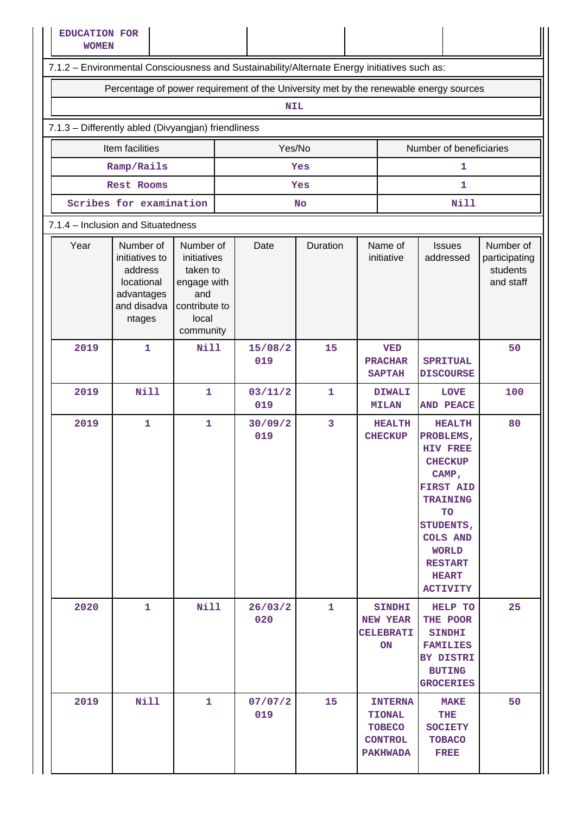| <b>EDUCATION FOR</b><br><b>WOMEN</b>                                                         |                                                                                                                                                                                                  |              |  |                |           |  |                                                                                       |                                                                                                                                                                                                                                   |                                                     |  |  |  |  |
|----------------------------------------------------------------------------------------------|--------------------------------------------------------------------------------------------------------------------------------------------------------------------------------------------------|--------------|--|----------------|-----------|--|---------------------------------------------------------------------------------------|-----------------------------------------------------------------------------------------------------------------------------------------------------------------------------------------------------------------------------------|-----------------------------------------------------|--|--|--|--|
| 7.1.2 - Environmental Consciousness and Sustainability/Alternate Energy initiatives such as: |                                                                                                                                                                                                  |              |  |                |           |  |                                                                                       |                                                                                                                                                                                                                                   |                                                     |  |  |  |  |
| Percentage of power requirement of the University met by the renewable energy sources        |                                                                                                                                                                                                  |              |  |                |           |  |                                                                                       |                                                                                                                                                                                                                                   |                                                     |  |  |  |  |
| <b>NIL</b>                                                                                   |                                                                                                                                                                                                  |              |  |                |           |  |                                                                                       |                                                                                                                                                                                                                                   |                                                     |  |  |  |  |
| 7.1.3 - Differently abled (Divyangjan) friendliness                                          |                                                                                                                                                                                                  |              |  |                |           |  |                                                                                       |                                                                                                                                                                                                                                   |                                                     |  |  |  |  |
| Yes/No<br>Item facilities<br>Number of beneficiaries                                         |                                                                                                                                                                                                  |              |  |                |           |  |                                                                                       |                                                                                                                                                                                                                                   |                                                     |  |  |  |  |
|                                                                                              | Ramp/Rails                                                                                                                                                                                       |              |  |                | Yes       |  |                                                                                       | 1                                                                                                                                                                                                                                 |                                                     |  |  |  |  |
|                                                                                              | Rest Rooms                                                                                                                                                                                       |              |  |                | Yes       |  |                                                                                       | $\mathbf{1}$                                                                                                                                                                                                                      |                                                     |  |  |  |  |
|                                                                                              | Scribes for examination                                                                                                                                                                          |              |  |                | <b>No</b> |  |                                                                                       | <b>Nill</b>                                                                                                                                                                                                                       |                                                     |  |  |  |  |
|                                                                                              | 7.1.4 - Inclusion and Situatedness                                                                                                                                                               |              |  |                |           |  |                                                                                       |                                                                                                                                                                                                                                   |                                                     |  |  |  |  |
| Year                                                                                         | Number of<br>Number of<br>initiatives to<br>initiatives<br>address<br>taken to<br>locational<br>engage with<br>advantages<br>and<br>and disadva<br>contribute to<br>local<br>ntages<br>community |              |  | Date           | Duration  |  | Name of<br>initiative                                                                 | <b>Issues</b><br>addressed                                                                                                                                                                                                        | Number of<br>participating<br>students<br>and staff |  |  |  |  |
| 2019                                                                                         | $\mathbf{1}$                                                                                                                                                                                     | <b>Nill</b>  |  | 15/08/2<br>019 | 15        |  | <b>VED</b><br><b>PRACHAR</b><br><b>SAPTAH</b>                                         | <b>SPRITUAL</b><br><b>DISCOURSE</b>                                                                                                                                                                                               | 50                                                  |  |  |  |  |
| 2019                                                                                         | <b>Nill</b>                                                                                                                                                                                      | 1            |  | 03/11/2<br>019 | 1         |  | <b>DIWALI</b><br><b>MILAN</b>                                                         | <b>LOVE</b><br><b>AND PEACE</b>                                                                                                                                                                                                   | 100                                                 |  |  |  |  |
| 2019                                                                                         | $\mathbf{1}$                                                                                                                                                                                     | $\mathbf{1}$ |  | 30/09/2<br>019 | 3         |  | <b>HEALTH</b><br><b>CHECKUP</b>                                                       | <b>HEALTH</b><br>PROBLEMS,<br><b>HIV FREE</b><br><b>CHECKUP</b><br>CAMP,<br><b>FIRST AID</b><br><b>TRAINING</b><br><b>TO</b><br>STUDENTS,<br><b>COLS AND</b><br><b>WORLD</b><br><b>RESTART</b><br><b>HEART</b><br><b>ACTIVITY</b> | 80                                                  |  |  |  |  |
| 2020                                                                                         | 1                                                                                                                                                                                                | <b>Nill</b>  |  | 26/03/2<br>020 | 1         |  | <b>SINDHI</b><br><b>NEW YEAR</b><br><b>CELEBRATI</b><br>ON                            | HELP TO<br>THE POOR<br><b>SINDHI</b><br><b>FAMILIES</b><br>BY DISTRI<br><b>BUTING</b><br><b>GROCERIES</b>                                                                                                                         | 25                                                  |  |  |  |  |
| 2019                                                                                         | <b>Nill</b>                                                                                                                                                                                      | 1            |  | 07/07/2<br>019 | 15        |  | <b>INTERNA</b><br><b>TIONAL</b><br><b>TOBECO</b><br><b>CONTROL</b><br><b>PAKHWADA</b> | <b>MAKE</b><br>THE<br><b>SOCIETY</b><br><b>TOBACO</b><br><b>FREE</b>                                                                                                                                                              | 50                                                  |  |  |  |  |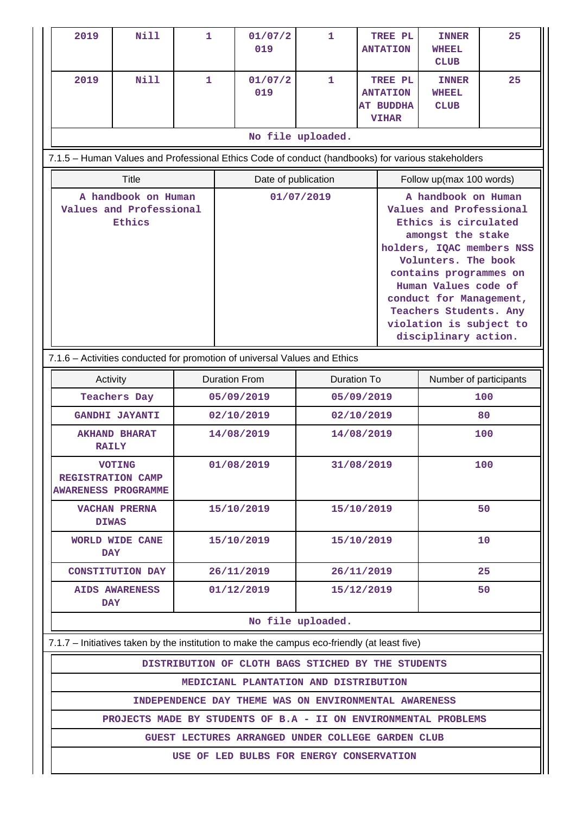| 2019                                                                                         | <b>Nill</b>                                                                                       | $\mathbf{1}$ |                          | 01/07/2<br>019                                        | $\mathbf{1}$                                                                                                                                                                                                                                                                                                            |  | TREE PL<br><b>ANTATION</b>                                     | <b>INNER</b><br>WHEEL<br><b>CLUB</b> | 25  |  |  |  |  |
|----------------------------------------------------------------------------------------------|---------------------------------------------------------------------------------------------------|--------------|--------------------------|-------------------------------------------------------|-------------------------------------------------------------------------------------------------------------------------------------------------------------------------------------------------------------------------------------------------------------------------------------------------------------------------|--|----------------------------------------------------------------|--------------------------------------|-----|--|--|--|--|
| 2019                                                                                         | <b>Nill</b>                                                                                       | $\mathbf{1}$ |                          | 01/07/2<br>019                                        | 1                                                                                                                                                                                                                                                                                                                       |  | TREE PL<br><b>ANTATION</b><br><b>AT BUDDHA</b><br><b>VIHAR</b> | <b>INNER</b><br>WHEEL<br><b>CLUB</b> | 25  |  |  |  |  |
|                                                                                              |                                                                                                   |              |                          |                                                       | No file uploaded.                                                                                                                                                                                                                                                                                                       |  |                                                                |                                      |     |  |  |  |  |
|                                                                                              | 7.1.5 - Human Values and Professional Ethics Code of conduct (handbooks) for various stakeholders |              |                          |                                                       |                                                                                                                                                                                                                                                                                                                         |  |                                                                |                                      |     |  |  |  |  |
|                                                                                              | <b>Title</b>                                                                                      |              |                          | Date of publication                                   |                                                                                                                                                                                                                                                                                                                         |  |                                                                | Follow up(max 100 words)             |     |  |  |  |  |
|                                                                                              | A handbook on Human<br>Values and Professional<br>Ethics                                          |              |                          |                                                       | A handbook on Human<br>01/07/2019<br>Values and Professional<br>Ethics is circulated<br>amongst the stake<br>holders, IQAC members NSS<br>Volunters. The book<br>contains programmes on<br>Human Values code of<br>conduct for Management,<br>Teachers Students. Any<br>violation is subject to<br>disciplinary action. |  |                                                                |                                      |     |  |  |  |  |
| 7.1.6 - Activities conducted for promotion of universal Values and Ethics                    |                                                                                                   |              |                          |                                                       |                                                                                                                                                                                                                                                                                                                         |  |                                                                |                                      |     |  |  |  |  |
| Activity                                                                                     |                                                                                                   |              |                          | <b>Duration From</b>                                  | <b>Duration To</b>                                                                                                                                                                                                                                                                                                      |  |                                                                | Number of participants               |     |  |  |  |  |
|                                                                                              | <b>Teachers Day</b>                                                                               |              | 05/09/2019<br>05/09/2019 |                                                       |                                                                                                                                                                                                                                                                                                                         |  |                                                                |                                      | 100 |  |  |  |  |
|                                                                                              | <b>GANDHI JAYANTI</b>                                                                             |              |                          | 02/10/2019                                            | 02/10/2019<br>14/08/2019                                                                                                                                                                                                                                                                                                |  |                                                                |                                      | 80  |  |  |  |  |
| <b>RAILY</b>                                                                                 | <b>AKHAND BHARAT</b>                                                                              |              |                          | 14/08/2019                                            |                                                                                                                                                                                                                                                                                                                         |  |                                                                | 100                                  |     |  |  |  |  |
| <b>REGISTRATION CAMP</b><br><b>AWARENESS PROGRAMME</b>                                       | <b>VOTING</b>                                                                                     |              | 01/08/2019<br>31/08/2019 |                                                       |                                                                                                                                                                                                                                                                                                                         |  |                                                                |                                      | 100 |  |  |  |  |
| <b>DIWAS</b>                                                                                 | <b>VACHAN PRERNA</b>                                                                              |              |                          | 15/10/2019                                            | 15/10/2019                                                                                                                                                                                                                                                                                                              |  |                                                                |                                      | 50  |  |  |  |  |
| <b>DAY</b>                                                                                   | WORLD WIDE CANE                                                                                   |              |                          | 15/10/2019                                            | 15/10/2019                                                                                                                                                                                                                                                                                                              |  |                                                                |                                      | 10  |  |  |  |  |
|                                                                                              | <b>CONSTITUTION DAY</b>                                                                           |              |                          | 26/11/2019                                            | 26/11/2019                                                                                                                                                                                                                                                                                                              |  |                                                                |                                      | 25  |  |  |  |  |
| DAY                                                                                          | <b>AIDS AWARENESS</b>                                                                             |              |                          | 01/12/2019                                            | 15/12/2019                                                                                                                                                                                                                                                                                                              |  |                                                                |                                      | 50  |  |  |  |  |
|                                                                                              |                                                                                                   |              |                          |                                                       | No file uploaded.                                                                                                                                                                                                                                                                                                       |  |                                                                |                                      |     |  |  |  |  |
| 7.1.7 - Initiatives taken by the institution to make the campus eco-friendly (at least five) |                                                                                                   |              |                          |                                                       |                                                                                                                                                                                                                                                                                                                         |  |                                                                |                                      |     |  |  |  |  |
|                                                                                              |                                                                                                   |              |                          | DISTRIBUTION OF CLOTH BAGS STICHED BY THE STUDENTS    |                                                                                                                                                                                                                                                                                                                         |  |                                                                |                                      |     |  |  |  |  |
|                                                                                              |                                                                                                   |              |                          | MEDICIANL PLANTATION AND DISTRIBUTION                 |                                                                                                                                                                                                                                                                                                                         |  |                                                                |                                      |     |  |  |  |  |
|                                                                                              | PROJECTS MADE BY STUDENTS OF B.A - II ON ENVIRONMENTAL PROBLEMS                                   |              |                          | INDEPENDENCE DAY THEME WAS ON ENVIRONMENTAL AWARENESS |                                                                                                                                                                                                                                                                                                                         |  |                                                                |                                      |     |  |  |  |  |
|                                                                                              |                                                                                                   |              |                          |                                                       |                                                                                                                                                                                                                                                                                                                         |  |                                                                |                                      |     |  |  |  |  |
|                                                                                              | GUEST LECTURES ARRANGED UNDER COLLEGE GARDEN CLUB<br>USE OF LED BULBS FOR ENERGY CONSERVATION     |              |                          |                                                       |                                                                                                                                                                                                                                                                                                                         |  |                                                                |                                      |     |  |  |  |  |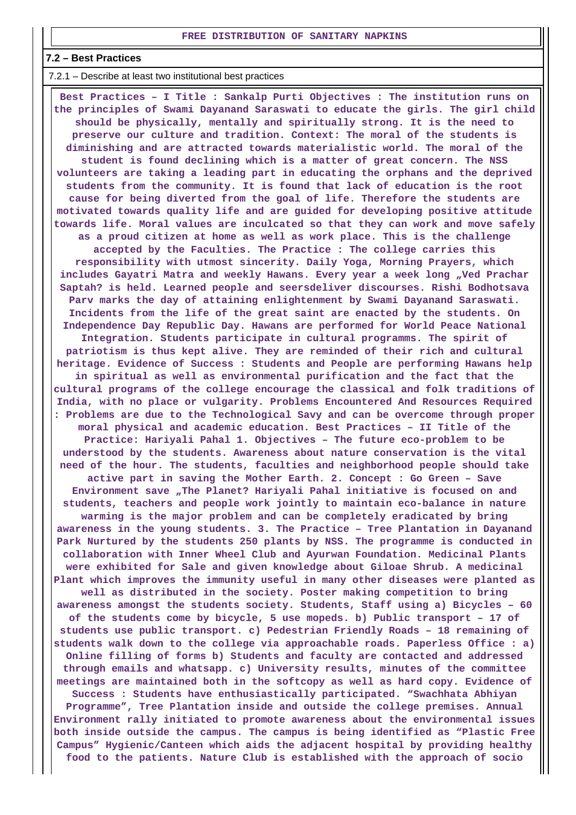#### **7.2 – Best Practices**

7.2.1 – Describe at least two institutional best practices

 **Best Practices – I Title : Sankalp Purti Objectives : The institution runs on the principles of Swami Dayanand Saraswati to educate the girls. The girl child should be physically, mentally and spiritually strong. It is the need to preserve our culture and tradition. Context: The moral of the students is diminishing and are attracted towards materialistic world. The moral of the student is found declining which is a matter of great concern. The NSS volunteers are taking a leading part in educating the orphans and the deprived students from the community. It is found that lack of education is the root cause for being diverted from the goal of life. Therefore the students are motivated towards quality life and are guided for developing positive attitude towards life. Moral values are inculcated so that they can work and move safely as a proud citizen at home as well as work place. This is the challenge accepted by the Faculties. The Practice : The college carries this responsibility with utmost sincerity. Daily Yoga, Morning Prayers, which** includes Gayatri Matra and weekly Hawans. Every year a week long "Ved Prachar **Saptah? is held. Learned people and seersdeliver discourses. Rishi Bodhotsava Parv marks the day of attaining enlightenment by Swami Dayanand Saraswati. Incidents from the life of the great saint are enacted by the students. On Independence Day Republic Day. Hawans are performed for World Peace National Integration. Students participate in cultural programms. The spirit of patriotism is thus kept alive. They are reminded of their rich and cultural heritage. Evidence of Success : Students and People are performing Hawans help in spiritual as well as environmental purification and the fact that the cultural programs of the college encourage the classical and folk traditions of India, with no place or vulgarity. Problems Encountered And Resources Required : Problems are due to the Technological Savy and can be overcome through proper moral physical and academic education. Best Practices – II Title of the Practice: Hariyali Pahal 1. Objectives – The future eco-problem to be understood by the students. Awareness about nature conservation is the vital need of the hour. The students, faculties and neighborhood people should take active part in saving the Mother Earth. 2. Concept : Go Green – Save** Environment save "The Planet? Hariyali Pahal initiative is focused on and **students, teachers and people work jointly to maintain eco-balance in nature warming is the major problem and can be completely eradicated by bring awareness in the young students. 3. The Practice – Tree Plantation in Dayanand Park Nurtured by the students 250 plants by NSS. The programme is conducted in collaboration with Inner Wheel Club and Ayurwan Foundation. Medicinal Plants were exhibited for Sale and given knowledge about Giloae Shrub. A medicinal Plant which improves the immunity useful in many other diseases were planted as well as distributed in the society. Poster making competition to bring awareness amongst the students society. Students, Staff using a) Bicycles – 60 of the students come by bicycle, 5 use mopeds. b) Public transport – 17 of students use public transport. c) Pedestrian Friendly Roads – 18 remaining of students walk down to the college via approachable roads. Paperless Office : a) Online filling of forms b) Students and faculty are contacted and addressed through emails and whatsapp. c) University results, minutes of the committee meetings are maintained both in the softcopy as well as hard copy. Evidence of Success : Students have enthusiastically participated. "Swachhata Abhiyan Programme", Tree Plantation inside and outside the college premises. Annual Environment rally initiated to promote awareness about the environmental issues both inside outside the campus. The campus is being identified as "Plastic Free Campus" Hygienic/Canteen which aids the adjacent hospital by providing healthy food to the patients. Nature Club is established with the approach of socio**